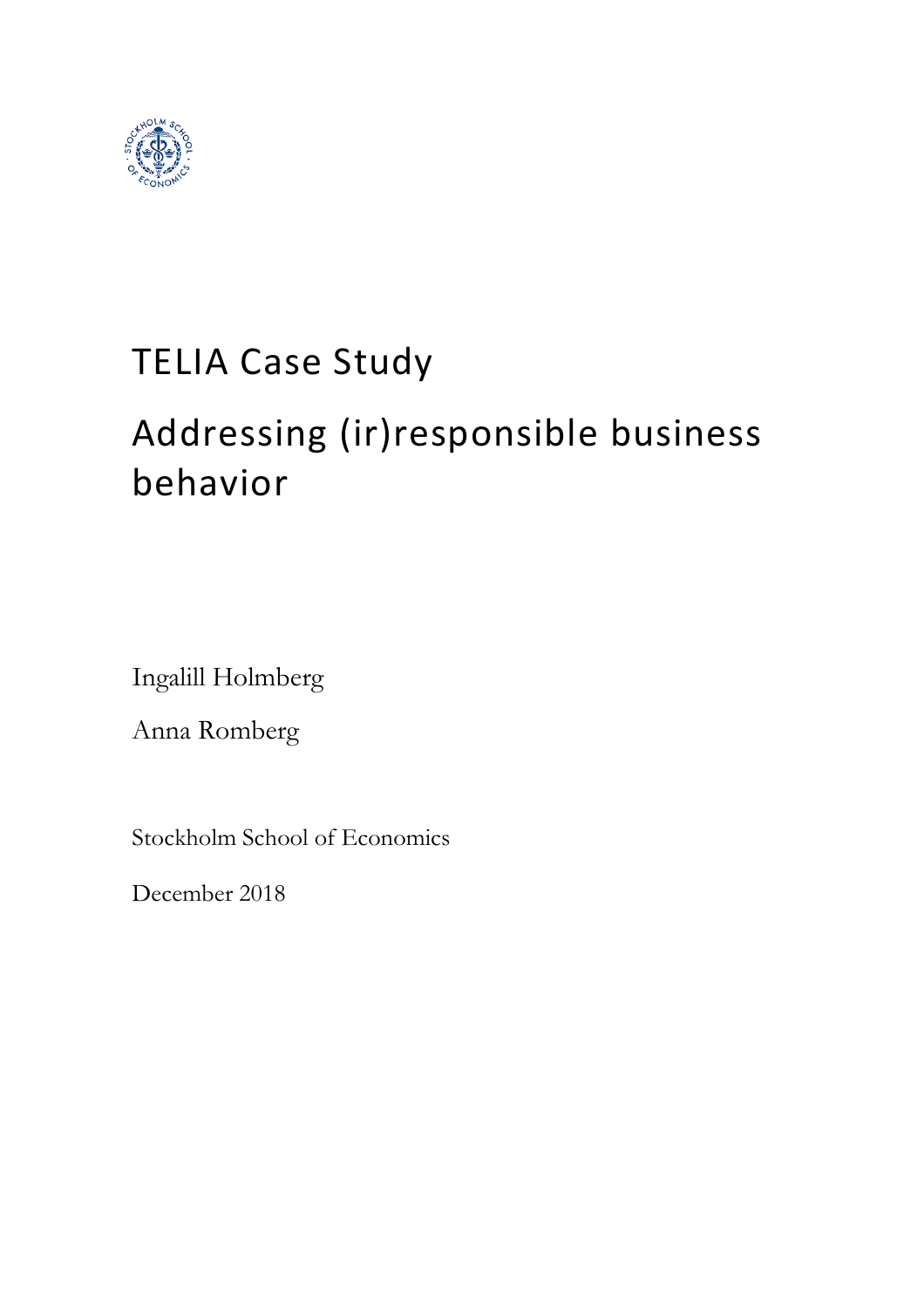

# TELIA Case Study

# Addressing (ir)responsible business behavior

Ingalill Holmberg

Anna Romberg

Stockholm School of Economics

December 2018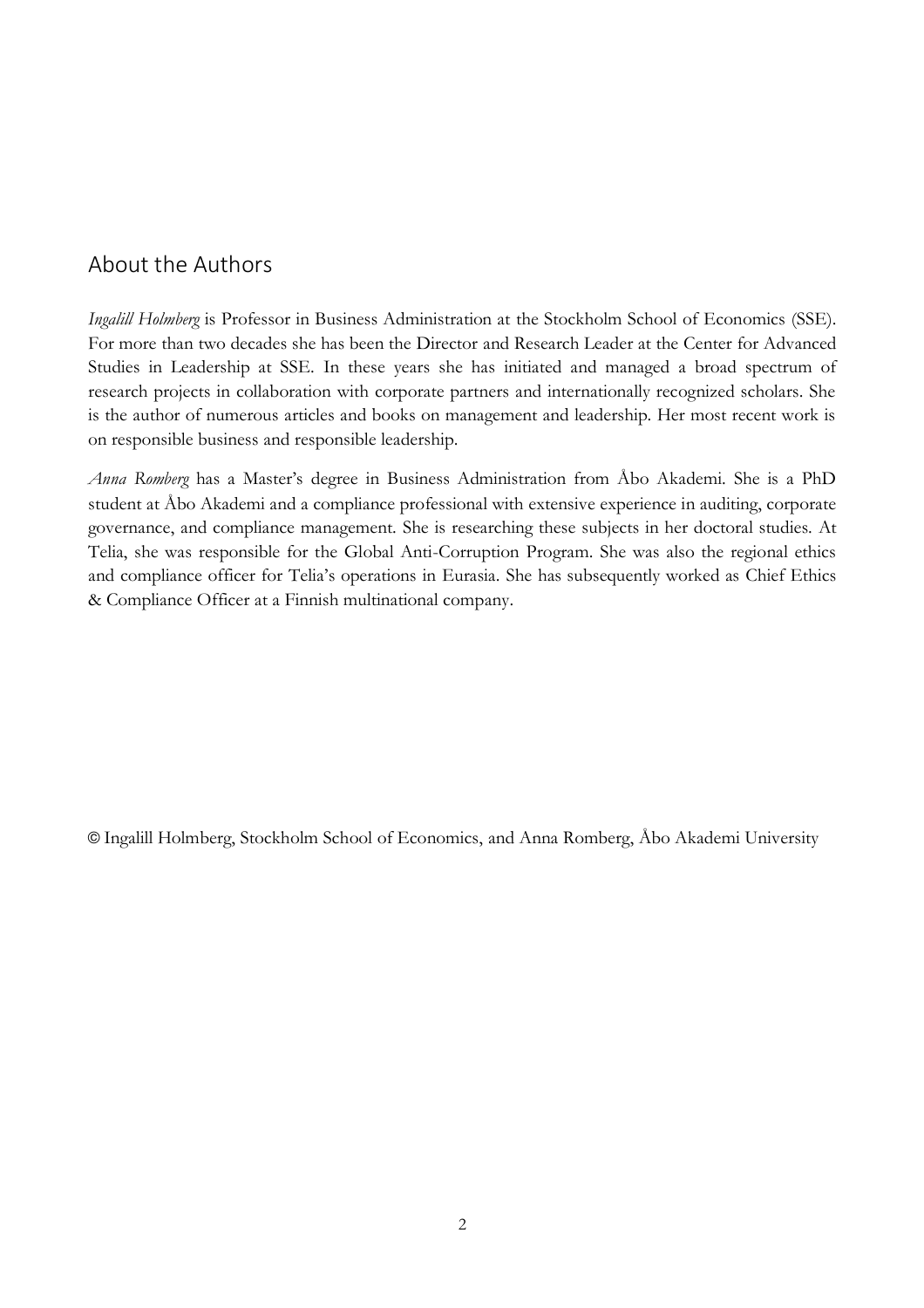# About the Authors

*Ingalill Holmberg* is Professor in Business Administration at the Stockholm School of Economics (SSE). For more than two decades she has been the Director and Research Leader at the Center for Advanced Studies in Leadership at SSE. In these years she has initiated and managed a broad spectrum of research projects in collaboration with corporate partners and internationally recognized scholars. She is the author of numerous articles and books on management and leadership. Her most recent work is on responsible business and responsible leadership.

*Anna Romberg* has a Master's degree in Business Administration from Åbo Akademi. She is a PhD student at Åbo Akademi and a compliance professional with extensive experience in auditing, corporate governance, and compliance management. She is researching these subjects in her doctoral studies. At Telia, she was responsible for the Global Anti-Corruption Program. She was also the regional ethics and compliance officer for Telia's operations in Eurasia. She has subsequently worked as Chief Ethics & Compliance Officer at a Finnish multinational company.

© Ingalill Holmberg, Stockholm School of Economics, and Anna Romberg, Åbo Akademi University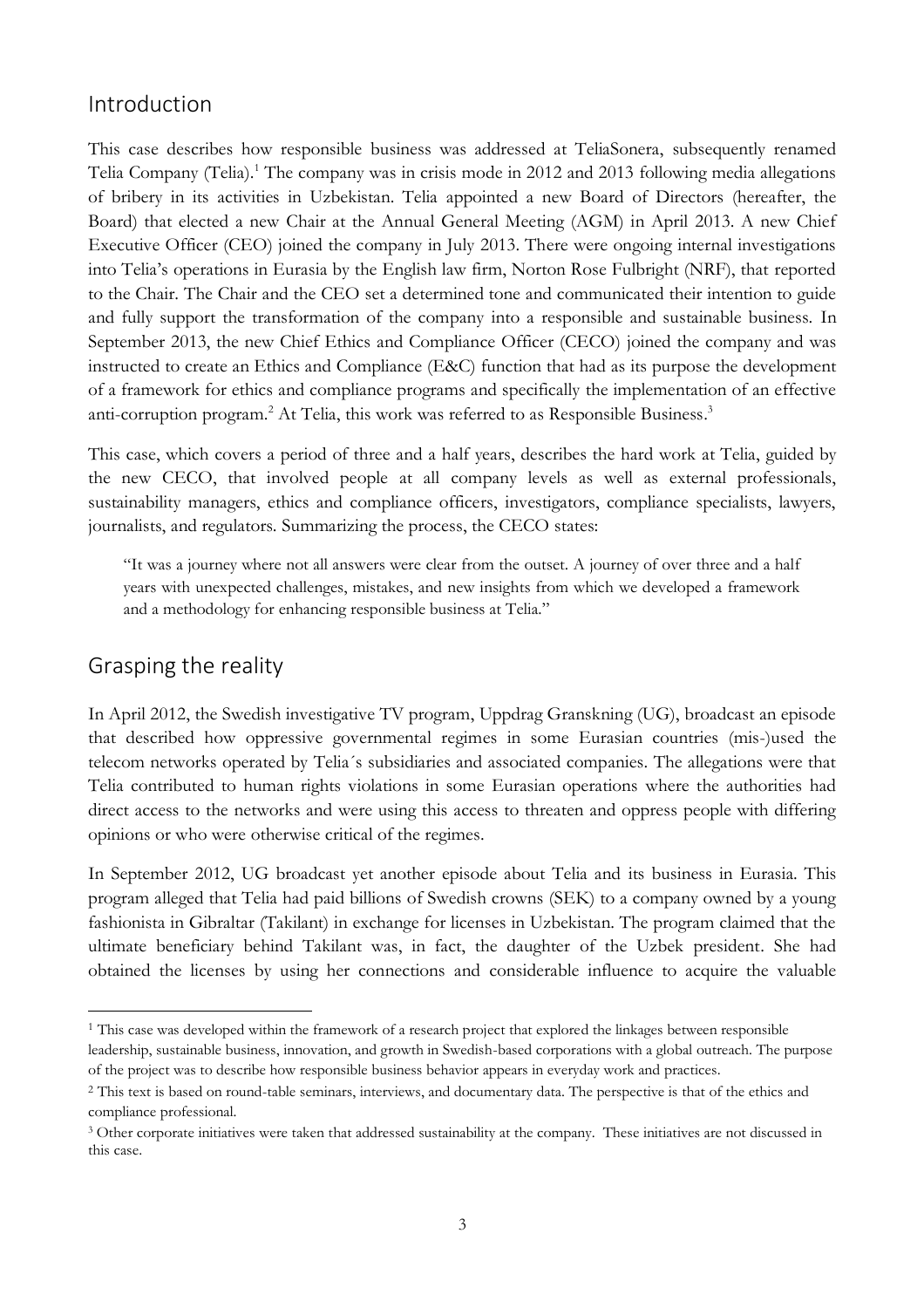# Introduction

This case describes how responsible business was addressed at TeliaSonera, subsequently renamed Telia Company (Telia).<sup>1</sup> The company was in crisis mode in 2012 and 2013 following media allegations of bribery in its activities in Uzbekistan. Telia appointed a new Board of Directors (hereafter, the Board) that elected a new Chair at the Annual General Meeting (AGM) in April 2013. A new Chief Executive Officer (CEO) joined the company in July 2013. There were ongoing internal investigations into Telia's operations in Eurasia by the English law firm, Norton Rose Fulbright (NRF), that reported to the Chair. The Chair and the CEO set a determined tone and communicated their intention to guide and fully support the transformation of the company into a responsible and sustainable business. In September 2013, the new Chief Ethics and Compliance Officer (CECO) joined the company and was instructed to create an Ethics and Compliance (E&C) function that had as its purpose the development of a framework for ethics and compliance programs and specifically the implementation of an effective anti-corruption program.<sup>2</sup> At Telia, this work was referred to as Responsible Business.<sup>3</sup>

This case, which covers a period of three and a half years, describes the hard work at Telia, guided by the new CECO, that involved people at all company levels as well as external professionals, sustainability managers, ethics and compliance officers, investigators, compliance specialists, lawyers, journalists, and regulators. Summarizing the process, the CECO states:

"It was a journey where not all answers were clear from the outset. A journey of over three and a half years with unexpected challenges, mistakes, and new insights from which we developed a framework and a methodology for enhancing responsible business at Telia."

# Grasping the reality

 $\overline{a}$ 

In April 2012, the Swedish investigative TV program, Uppdrag Granskning (UG), broadcast an episode that described how oppressive governmental regimes in some Eurasian countries (mis-)used the telecom networks operated by Telia´s subsidiaries and associated companies. The allegations were that Telia contributed to human rights violations in some Eurasian operations where the authorities had direct access to the networks and were using this access to threaten and oppress people with differing opinions or who were otherwise critical of the regimes.

In September 2012, UG broadcast yet another episode about Telia and its business in Eurasia. This program alleged that Telia had paid billions of Swedish crowns (SEK) to a company owned by a young fashionista in Gibraltar (Takilant) in exchange for licenses in Uzbekistan. The program claimed that the ultimate beneficiary behind Takilant was, in fact, the daughter of the Uzbek president. She had obtained the licenses by using her connections and considerable influence to acquire the valuable

<sup>1</sup> This case was developed within the framework of a research project that explored the linkages between responsible leadership, sustainable business, innovation, and growth in Swedish-based corporations with a global outreach. The purpose of the project was to describe how responsible business behavior appears in everyday work and practices.

<sup>&</sup>lt;sup>2</sup> This text is based on round-table seminars, interviews, and documentary data. The perspective is that of the ethics and compliance professional.

<sup>3</sup> Other corporate initiatives were taken that addressed sustainability at the company. These initiatives are not discussed in this case.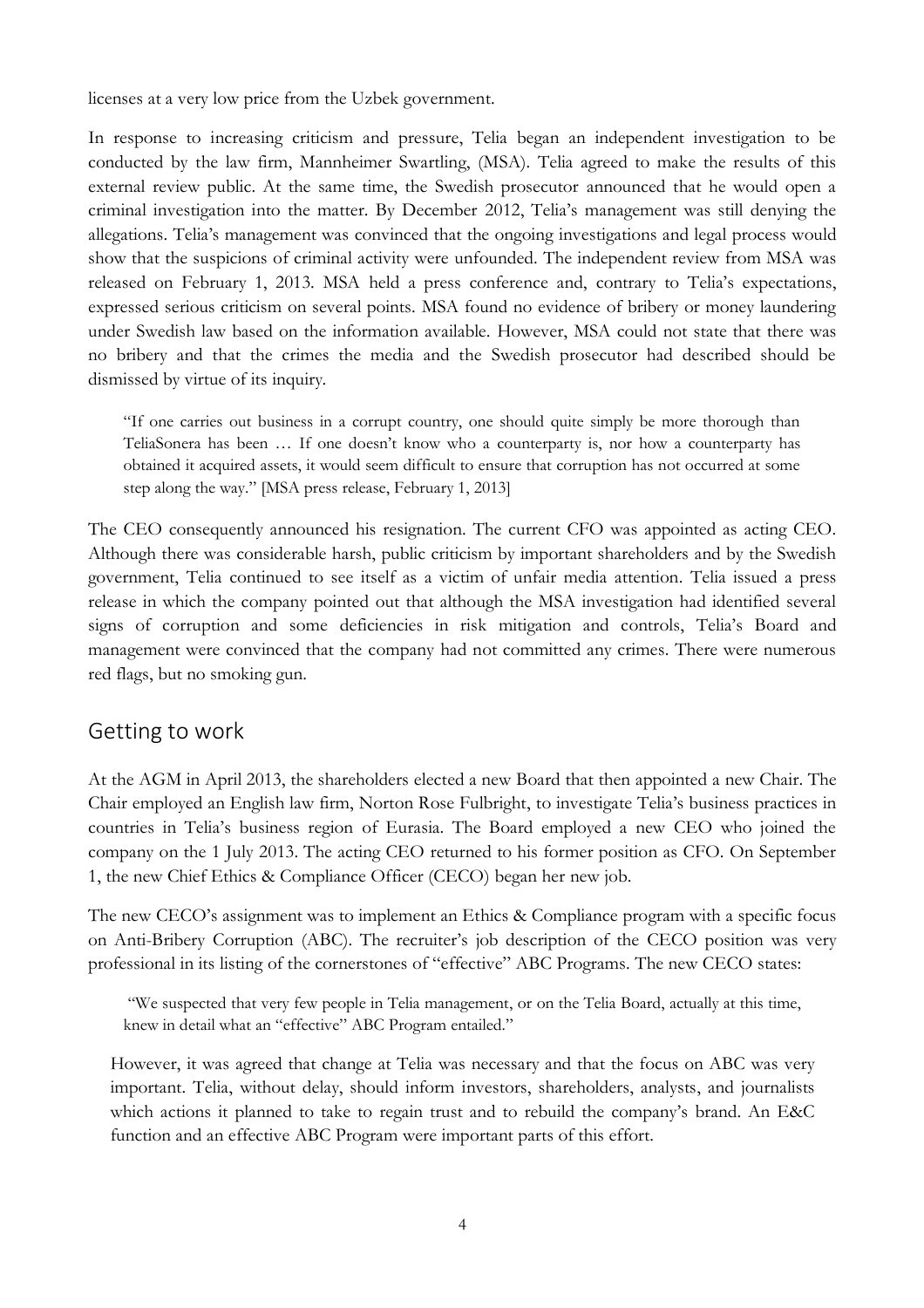licenses at a very low price from the Uzbek government.

In response to increasing criticism and pressure, Telia began an independent investigation to be conducted by the law firm, Mannheimer Swartling, (MSA). Telia agreed to make the results of this external review public. At the same time, the Swedish prosecutor announced that he would open a criminal investigation into the matter. By December 2012, Telia's management was still denying the allegations. Telia's management was convinced that the ongoing investigations and legal process would show that the suspicions of criminal activity were unfounded. The independent review from MSA was released on February 1, 2013. MSA held a press conference and, contrary to Telia's expectations, expressed serious criticism on several points. MSA found no evidence of bribery or money laundering under Swedish law based on the information available. However, MSA could not state that there was no bribery and that the crimes the media and the Swedish prosecutor had described should be dismissed by virtue of its inquiry.

"If one carries out business in a corrupt country, one should quite simply be more thorough than TeliaSonera has been … If one doesn't know who a counterparty is, nor how a counterparty has obtained it acquired assets, it would seem difficult to ensure that corruption has not occurred at some step along the way." [MSA press release, February 1, 2013]

The CEO consequently announced his resignation. The current CFO was appointed as acting CEO. Although there was considerable harsh, public criticism by important shareholders and by the Swedish government, Telia continued to see itself as a victim of unfair media attention. Telia issued a press release in which the company pointed out that although the MSA investigation had identified several signs of corruption and some deficiencies in risk mitigation and controls, Telia's Board and management were convinced that the company had not committed any crimes. There were numerous red flags, but no smoking gun.

## Getting to work

At the AGM in April 2013, the shareholders elected a new Board that then appointed a new Chair. The Chair employed an English law firm, Norton Rose Fulbright, to investigate Telia's business practices in countries in Telia's business region of Eurasia. The Board employed a new CEO who joined the company on the 1 July 2013. The acting CEO returned to his former position as CFO. On September 1, the new Chief Ethics & Compliance Officer (CECO) began her new job.

The new CECO's assignment was to implement an Ethics & Compliance program with a specific focus on Anti-Bribery Corruption (ABC). The recruiter's job description of the CECO position was very professional in its listing of the cornerstones of "effective" ABC Programs. The new CECO states:

"We suspected that very few people in Telia management, or on the Telia Board, actually at this time, knew in detail what an "effective" ABC Program entailed."

However, it was agreed that change at Telia was necessary and that the focus on ABC was very important. Telia, without delay, should inform investors, shareholders, analysts, and journalists which actions it planned to take to regain trust and to rebuild the company's brand. An E&C function and an effective ABC Program were important parts of this effort.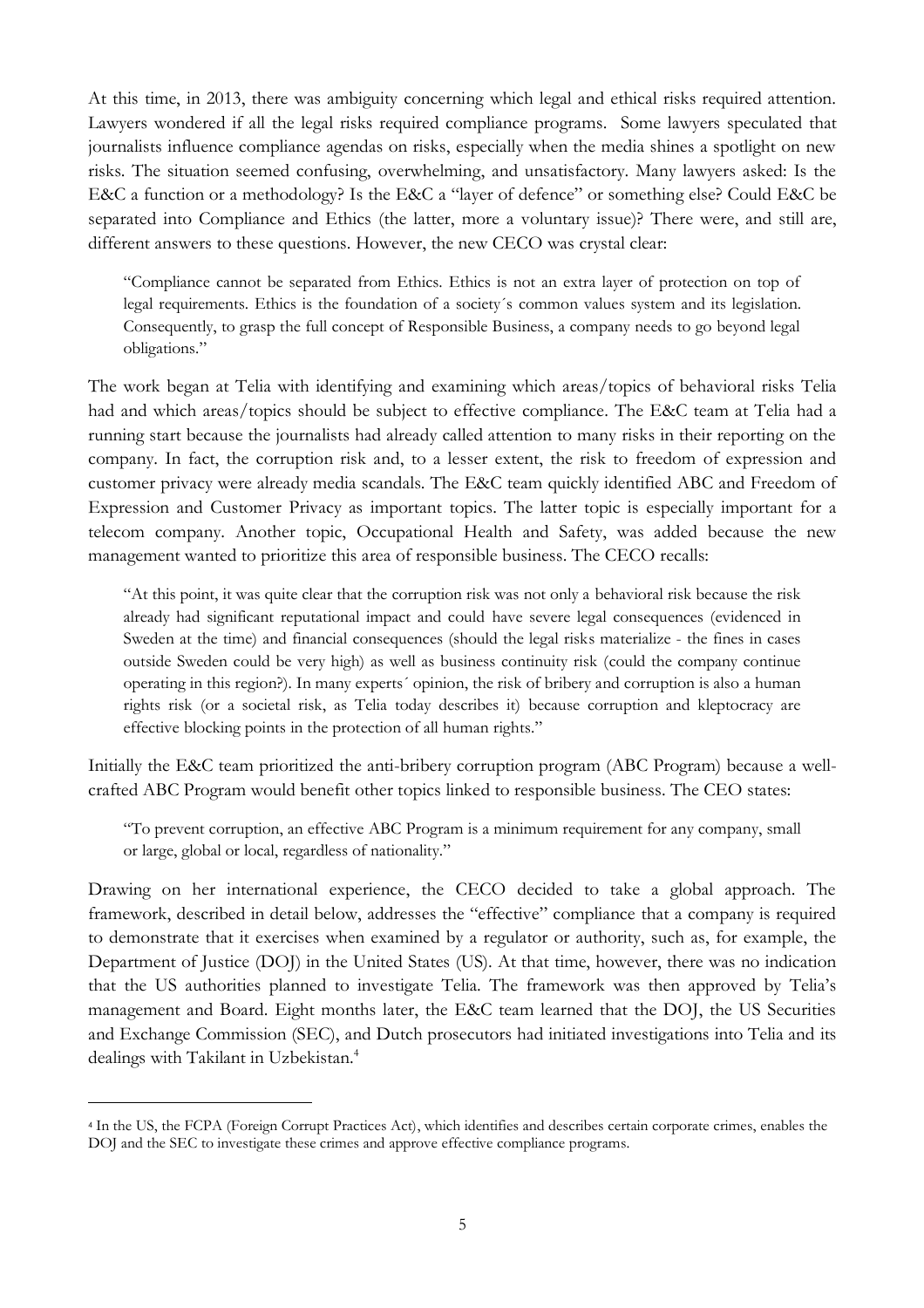At this time, in 2013, there was ambiguity concerning which legal and ethical risks required attention. Lawyers wondered if all the legal risks required compliance programs. Some lawyers speculated that journalists influence compliance agendas on risks, especially when the media shines a spotlight on new risks. The situation seemed confusing, overwhelming, and unsatisfactory. Many lawyers asked: Is the E&C a function or a methodology? Is the E&C a "layer of defence" or something else? Could E&C be separated into Compliance and Ethics (the latter, more a voluntary issue)? There were, and still are, different answers to these questions. However, the new CECO was crystal clear:

"Compliance cannot be separated from Ethics. Ethics is not an extra layer of protection on top of legal requirements. Ethics is the foundation of a society´s common values system and its legislation. Consequently, to grasp the full concept of Responsible Business, a company needs to go beyond legal obligations."

The work began at Telia with identifying and examining which areas/topics of behavioral risks Telia had and which areas/topics should be subject to effective compliance. The E&C team at Telia had a running start because the journalists had already called attention to many risks in their reporting on the company. In fact, the corruption risk and, to a lesser extent, the risk to freedom of expression and customer privacy were already media scandals. The E&C team quickly identified ABC and Freedom of Expression and Customer Privacy as important topics. The latter topic is especially important for a telecom company. Another topic, Occupational Health and Safety, was added because the new management wanted to prioritize this area of responsible business. The CECO recalls:

"At this point, it was quite clear that the corruption risk was not only a behavioral risk because the risk already had significant reputational impact and could have severe legal consequences (evidenced in Sweden at the time) and financial consequences (should the legal risks materialize - the fines in cases outside Sweden could be very high) as well as business continuity risk (could the company continue operating in this region?). In many experts´ opinion, the risk of bribery and corruption is also a human rights risk (or a societal risk, as Telia today describes it) because corruption and kleptocracy are effective blocking points in the protection of all human rights."

Initially the E&C team prioritized the anti-bribery corruption program (ABC Program) because a wellcrafted ABC Program would benefit other topics linked to responsible business. The CEO states:

"To prevent corruption, an effective ABC Program is a minimum requirement for any company, small or large, global or local, regardless of nationality."

Drawing on her international experience, the CECO decided to take a global approach. The framework, described in detail below, addresses the "effective" compliance that a company is required to demonstrate that it exercises when examined by a regulator or authority, such as, for example, the Department of Justice (DOJ) in the United States (US). At that time, however, there was no indication that the US authorities planned to investigate Telia. The framework was then approved by Telia's management and Board. Eight months later, the E&C team learned that the DOJ, the US Securities and Exchange Commission (SEC), and Dutch prosecutors had initiated investigations into Telia and its dealings with Takilant in Uzbekistan.<sup>4</sup>

 $\overline{a}$ 

<sup>4</sup> In the US, the FCPA (Foreign Corrupt Practices Act), which identifies and describes certain corporate crimes, enables the DOJ and the SEC to investigate these crimes and approve effective compliance programs.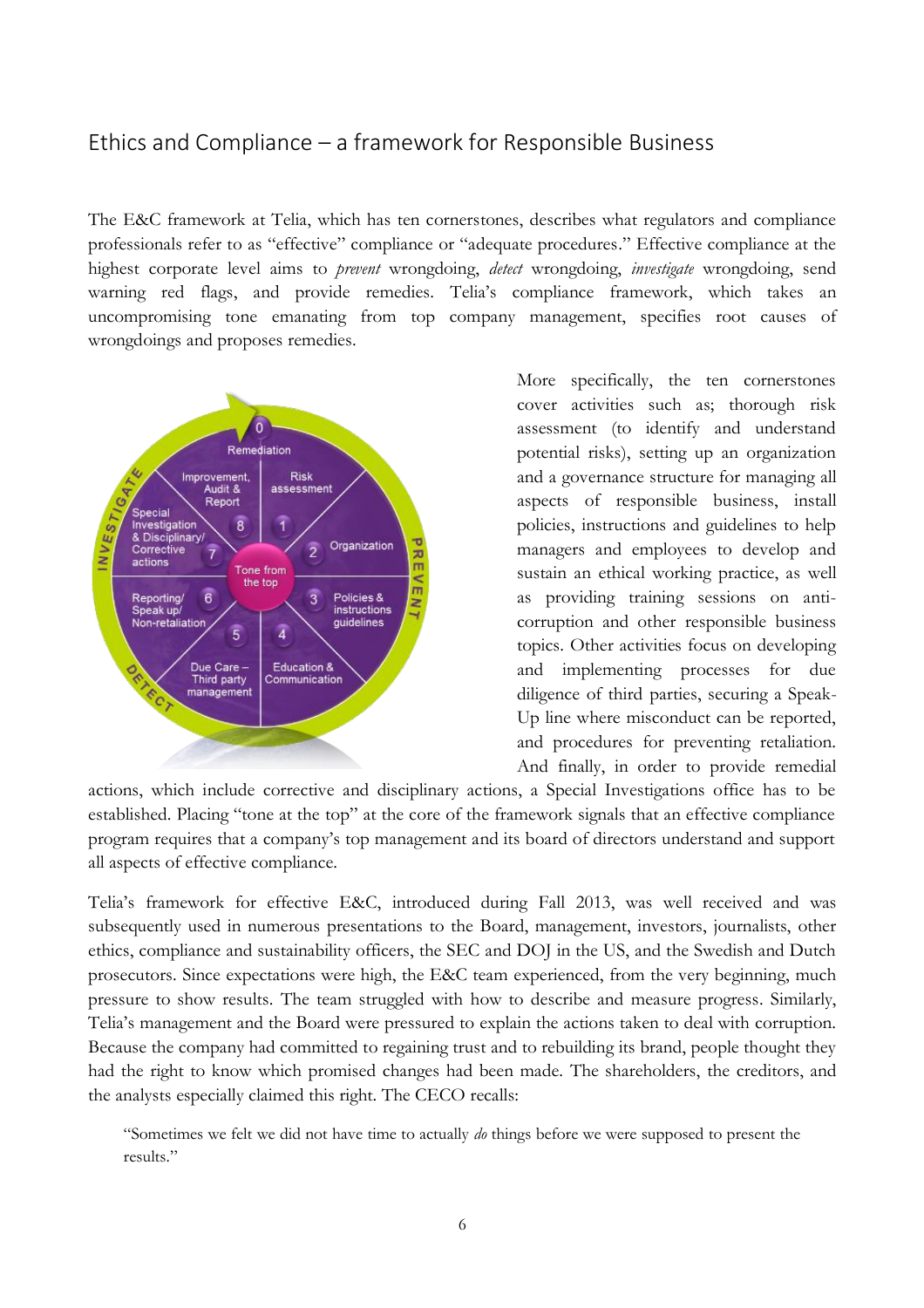# Ethics and Compliance – a framework for Responsible Business

The E&C framework at Telia, which has ten cornerstones, describes what regulators and compliance professionals refer to as "effective" compliance or "adequate procedures." Effective compliance at the highest corporate level aims to *prevent* wrongdoing, *detect* wrongdoing, *investigate* wrongdoing, send warning red flags, and provide remedies. Telia's compliance framework, which takes an uncompromising tone emanating from top company management, specifies root causes of wrongdoings and proposes remedies.



More specifically, the ten cornerstones cover activities such as; thorough risk assessment (to identify and understand potential risks), setting up an organization and a governance structure for managing all aspects of responsible business, install policies, instructions and guidelines to help managers and employees to develop and sustain an ethical working practice, as well as providing training sessions on anticorruption and other responsible business topics. Other activities focus on developing and implementing processes for due diligence of third parties, securing a Speak-Up line where misconduct can be reported, and procedures for preventing retaliation. And finally, in order to provide remedial

actions, which include corrective and disciplinary actions, a Special Investigations office has to be established. Placing "tone at the top" at the core of the framework signals that an effective compliance program requires that a company's top management and its board of directors understand and support all aspects of effective compliance.

Telia's framework for effective E&C, introduced during Fall 2013, was well received and was subsequently used in numerous presentations to the Board, management, investors, journalists, other ethics, compliance and sustainability officers, the SEC and DOJ in the US, and the Swedish and Dutch prosecutors. Since expectations were high, the E&C team experienced, from the very beginning, much pressure to show results. The team struggled with how to describe and measure progress. Similarly, Telia's management and the Board were pressured to explain the actions taken to deal with corruption. Because the company had committed to regaining trust and to rebuilding its brand, people thought they had the right to know which promised changes had been made. The shareholders, the creditors, and the analysts especially claimed this right. The CECO recalls:

"Sometimes we felt we did not have time to actually *do* things before we were supposed to present the results."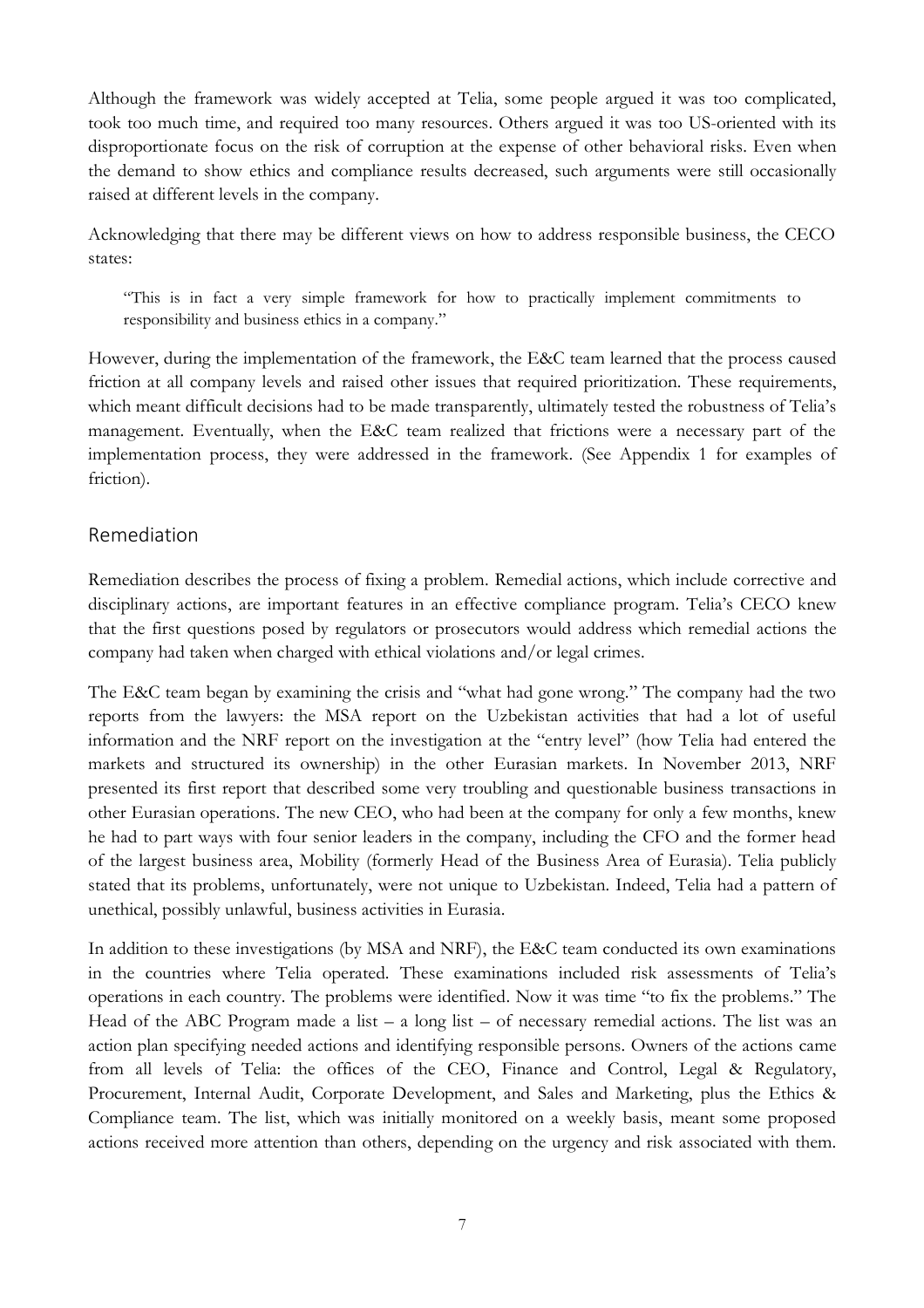Although the framework was widely accepted at Telia, some people argued it was too complicated, took too much time, and required too many resources. Others argued it was too US-oriented with its disproportionate focus on the risk of corruption at the expense of other behavioral risks. Even when the demand to show ethics and compliance results decreased, such arguments were still occasionally raised at different levels in the company.

Acknowledging that there may be different views on how to address responsible business, the CECO states:

"This is in fact a very simple framework for how to practically implement commitments to responsibility and business ethics in a company."

However, during the implementation of the framework, the E&C team learned that the process caused friction at all company levels and raised other issues that required prioritization. These requirements, which meant difficult decisions had to be made transparently, ultimately tested the robustness of Telia's management. Eventually, when the E&C team realized that frictions were a necessary part of the implementation process, they were addressed in the framework. (See Appendix 1 for examples of friction).

### Remediation

Remediation describes the process of fixing a problem. Remedial actions, which include corrective and disciplinary actions, are important features in an effective compliance program. Telia's CECO knew that the first questions posed by regulators or prosecutors would address which remedial actions the company had taken when charged with ethical violations and/or legal crimes.

The E&C team began by examining the crisis and "what had gone wrong." The company had the two reports from the lawyers: the MSA report on the Uzbekistan activities that had a lot of useful information and the NRF report on the investigation at the "entry level" (how Telia had entered the markets and structured its ownership) in the other Eurasian markets. In November 2013, NRF presented its first report that described some very troubling and questionable business transactions in other Eurasian operations. The new CEO, who had been at the company for only a few months, knew he had to part ways with four senior leaders in the company, including the CFO and the former head of the largest business area, Mobility (formerly Head of the Business Area of Eurasia). Telia publicly stated that its problems, unfortunately, were not unique to Uzbekistan. Indeed, Telia had a pattern of unethical, possibly unlawful, business activities in Eurasia.

In addition to these investigations (by MSA and NRF), the E&C team conducted its own examinations in the countries where Telia operated. These examinations included risk assessments of Telia's operations in each country. The problems were identified. Now it was time "to fix the problems." The Head of the ABC Program made a list  $-$  a long list  $-$  of necessary remedial actions. The list was an action plan specifying needed actions and identifying responsible persons. Owners of the actions came from all levels of Telia: the offices of the CEO, Finance and Control, Legal & Regulatory, Procurement, Internal Audit, Corporate Development, and Sales and Marketing, plus the Ethics & Compliance team. The list, which was initially monitored on a weekly basis, meant some proposed actions received more attention than others, depending on the urgency and risk associated with them.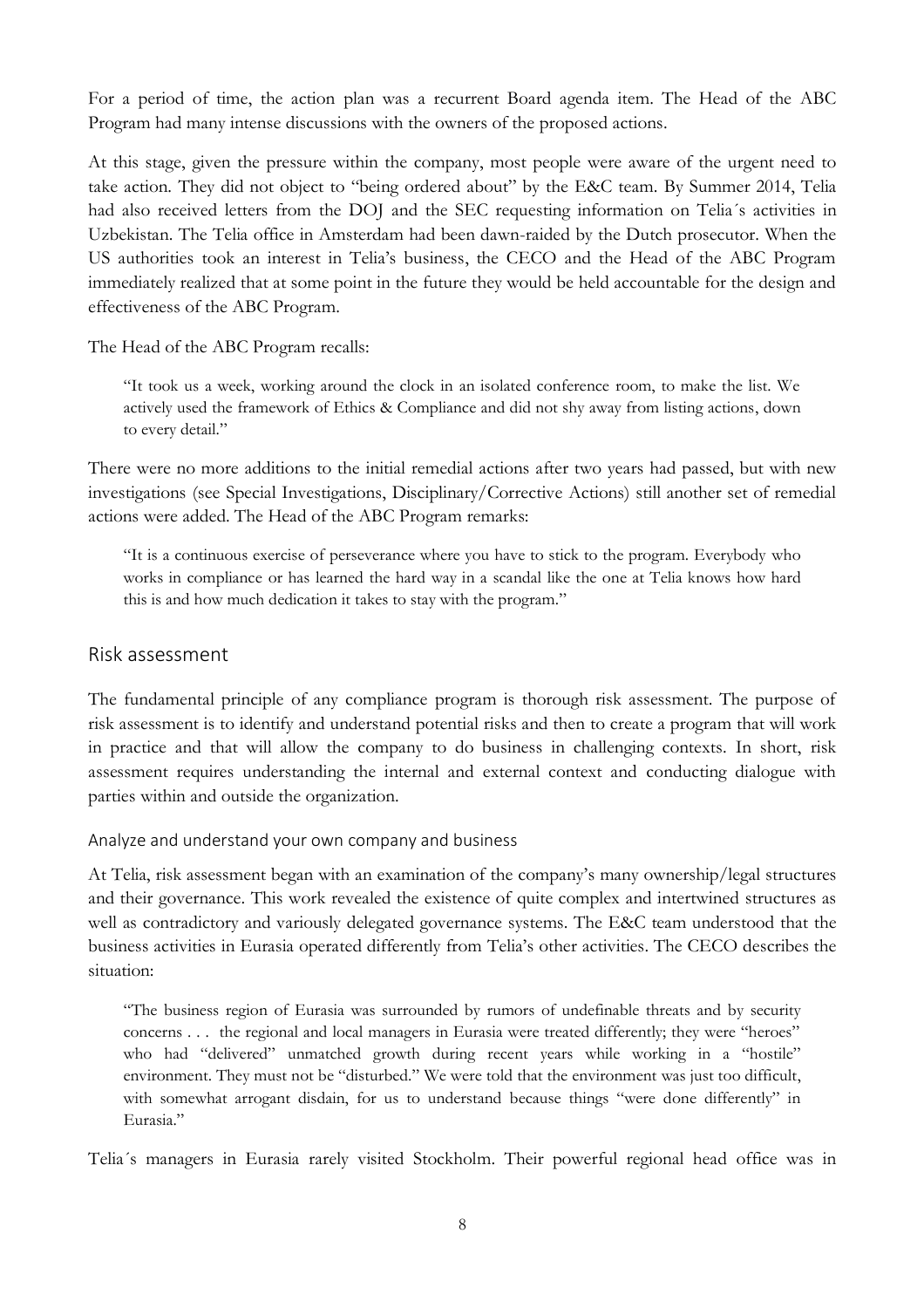For a period of time, the action plan was a recurrent Board agenda item. The Head of the ABC Program had many intense discussions with the owners of the proposed actions.

At this stage, given the pressure within the company, most people were aware of the urgent need to take action. They did not object to "being ordered about" by the E&C team. By Summer 2014, Telia had also received letters from the DOJ and the SEC requesting information on Telia's activities in Uzbekistan. The Telia office in Amsterdam had been dawn-raided by the Dutch prosecutor. When the US authorities took an interest in Telia's business, the CECO and the Head of the ABC Program immediately realized that at some point in the future they would be held accountable for the design and effectiveness of the ABC Program.

The Head of the ABC Program recalls:

"It took us a week, working around the clock in an isolated conference room, to make the list. We actively used the framework of Ethics & Compliance and did not shy away from listing actions, down to every detail."

There were no more additions to the initial remedial actions after two years had passed, but with new investigations (see Special Investigations, Disciplinary/Corrective Actions) still another set of remedial actions were added. The Head of the ABC Program remarks:

"It is a continuous exercise of perseverance where you have to stick to the program. Everybody who works in compliance or has learned the hard way in a scandal like the one at Telia knows how hard this is and how much dedication it takes to stay with the program."

#### Risk assessment

The fundamental principle of any compliance program is thorough risk assessment. The purpose of risk assessment is to identify and understand potential risks and then to create a program that will work in practice and that will allow the company to do business in challenging contexts. In short, risk assessment requires understanding the internal and external context and conducting dialogue with parties within and outside the organization.

Analyze and understand your own company and business

At Telia, risk assessment began with an examination of the company's many ownership/legal structures and their governance. This work revealed the existence of quite complex and intertwined structures as well as contradictory and variously delegated governance systems. The E&C team understood that the business activities in Eurasia operated differently from Telia's other activities. The CECO describes the situation:

"The business region of Eurasia was surrounded by rumors of undefinable threats and by security concerns . . . the regional and local managers in Eurasia were treated differently; they were "heroes" who had "delivered" unmatched growth during recent years while working in a "hostile" environment. They must not be "disturbed." We were told that the environment was just too difficult, with somewhat arrogant disdain, for us to understand because things "were done differently" in Eurasia."

Telia´s managers in Eurasia rarely visited Stockholm. Their powerful regional head office was in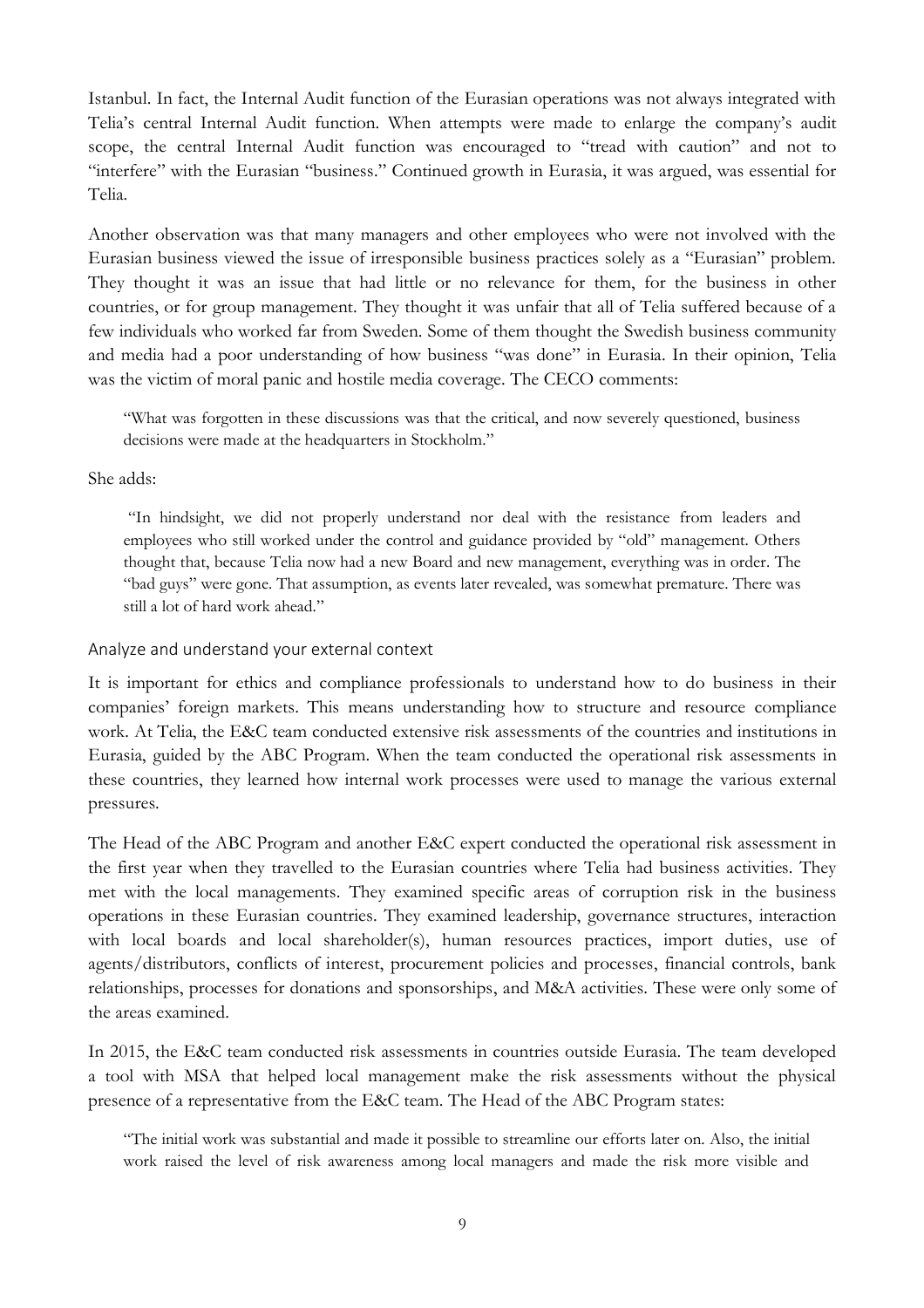Istanbul. In fact, the Internal Audit function of the Eurasian operations was not always integrated with Telia's central Internal Audit function. When attempts were made to enlarge the company's audit scope, the central Internal Audit function was encouraged to "tread with caution" and not to "interfere" with the Eurasian "business." Continued growth in Eurasia, it was argued, was essential for Telia.

Another observation was that many managers and other employees who were not involved with the Eurasian business viewed the issue of irresponsible business practices solely as a "Eurasian" problem. They thought it was an issue that had little or no relevance for them, for the business in other countries, or for group management. They thought it was unfair that all of Telia suffered because of a few individuals who worked far from Sweden. Some of them thought the Swedish business community and media had a poor understanding of how business "was done" in Eurasia. In their opinion, Telia was the victim of moral panic and hostile media coverage. The CECO comments:

"What was forgotten in these discussions was that the critical, and now severely questioned, business decisions were made at the headquarters in Stockholm."

She adds:

"In hindsight, we did not properly understand nor deal with the resistance from leaders and employees who still worked under the control and guidance provided by "old" management. Others thought that, because Telia now had a new Board and new management, everything was in order. The "bad guys" were gone. That assumption, as events later revealed, was somewhat premature. There was still a lot of hard work ahead."

#### Analyze and understand your external context

It is important for ethics and compliance professionals to understand how to do business in their companies' foreign markets. This means understanding how to structure and resource compliance work. At Telia, the E&C team conducted extensive risk assessments of the countries and institutions in Eurasia, guided by the ABC Program. When the team conducted the operational risk assessments in these countries, they learned how internal work processes were used to manage the various external pressures.

The Head of the ABC Program and another E&C expert conducted the operational risk assessment in the first year when they travelled to the Eurasian countries where Telia had business activities. They met with the local managements. They examined specific areas of corruption risk in the business operations in these Eurasian countries. They examined leadership, governance structures, interaction with local boards and local shareholder(s), human resources practices, import duties, use of agents/distributors, conflicts of interest, procurement policies and processes, financial controls, bank relationships, processes for donations and sponsorships, and M&A activities. These were only some of the areas examined.

In 2015, the E&C team conducted risk assessments in countries outside Eurasia. The team developed a tool with MSA that helped local management make the risk assessments without the physical presence of a representative from the E&C team. The Head of the ABC Program states:

"The initial work was substantial and made it possible to streamline our efforts later on. Also, the initial work raised the level of risk awareness among local managers and made the risk more visible and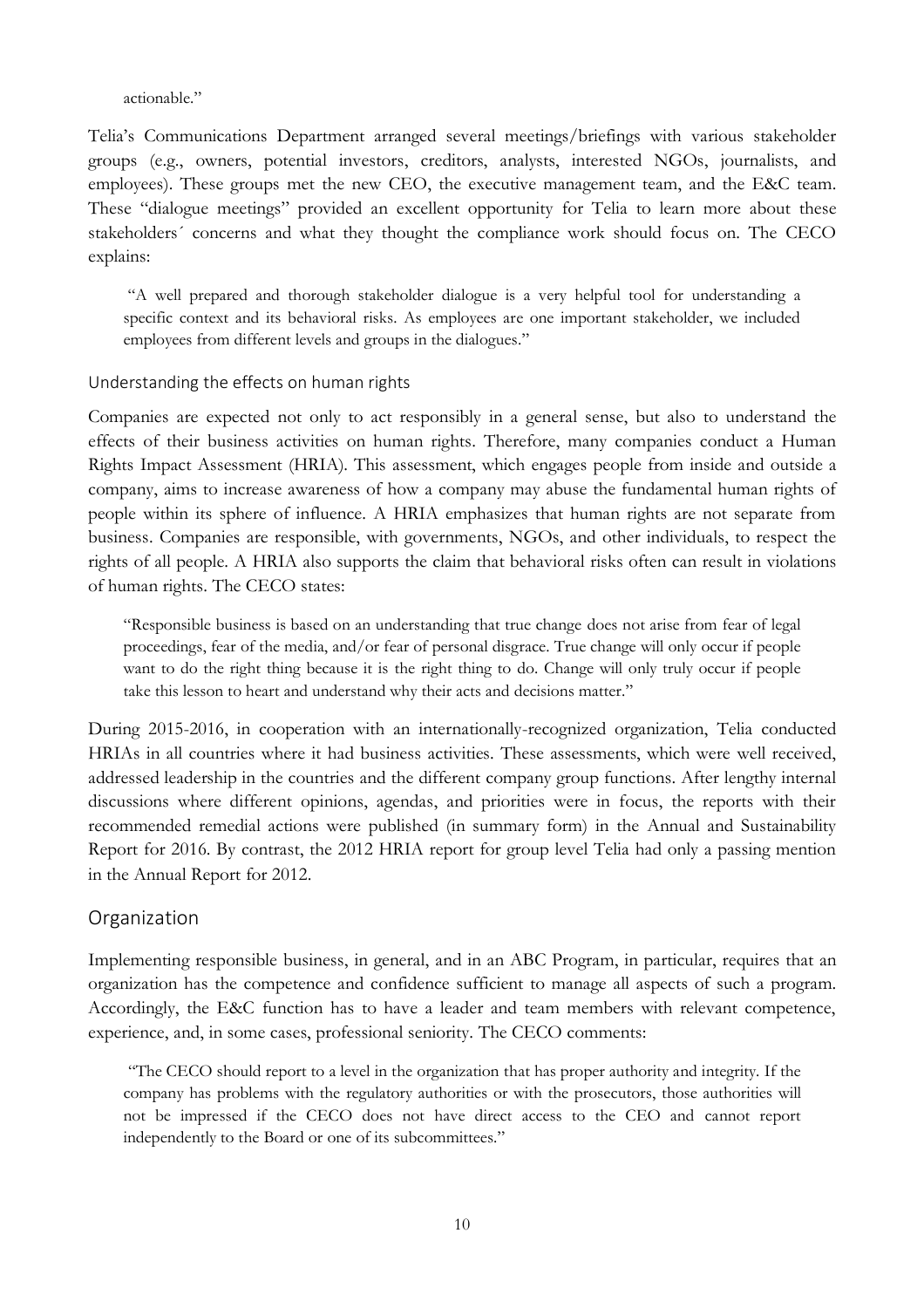#### actionable"

Telia's Communications Department arranged several meetings/briefings with various stakeholder groups (e.g., owners, potential investors, creditors, analysts, interested NGOs, journalists, and employees). These groups met the new CEO, the executive management team, and the E&C team. These "dialogue meetings" provided an excellent opportunity for Telia to learn more about these stakeholders´ concerns and what they thought the compliance work should focus on. The CECO explains:

"A well prepared and thorough stakeholder dialogue is a very helpful tool for understanding a specific context and its behavioral risks. As employees are one important stakeholder, we included employees from different levels and groups in the dialogues."

#### Understanding the effects on human rights

Companies are expected not only to act responsibly in a general sense, but also to understand the effects of their business activities on human rights. Therefore, many companies conduct a Human Rights Impact Assessment (HRIA). This assessment, which engages people from inside and outside a company, aims to increase awareness of how a company may abuse the fundamental human rights of people within its sphere of influence. A HRIA emphasizes that human rights are not separate from business. Companies are responsible, with governments, NGOs, and other individuals, to respect the rights of all people. A HRIA also supports the claim that behavioral risks often can result in violations of human rights. The CECO states:

"Responsible business is based on an understanding that true change does not arise from fear of legal proceedings, fear of the media, and/or fear of personal disgrace. True change will only occur if people want to do the right thing because it is the right thing to do. Change will only truly occur if people take this lesson to heart and understand why their acts and decisions matter."

During 2015-2016, in cooperation with an internationally-recognized organization, Telia conducted HRIAs in all countries where it had business activities. These assessments, which were well received, addressed leadership in the countries and the different company group functions. After lengthy internal discussions where different opinions, agendas, and priorities were in focus, the reports with their recommended remedial actions were published (in summary form) in the Annual and Sustainability Report for 2016. By contrast, the 2012 HRIA report for group level Telia had only a passing mention in the Annual Report for 2012.

#### Organization

Implementing responsible business, in general, and in an ABC Program, in particular, requires that an organization has the competence and confidence sufficient to manage all aspects of such a program. Accordingly, the E&C function has to have a leader and team members with relevant competence, experience, and, in some cases, professional seniority. The CECO comments:

"The CECO should report to a level in the organization that has proper authority and integrity. If the company has problems with the regulatory authorities or with the prosecutors, those authorities will not be impressed if the CECO does not have direct access to the CEO and cannot report independently to the Board or one of its subcommittees."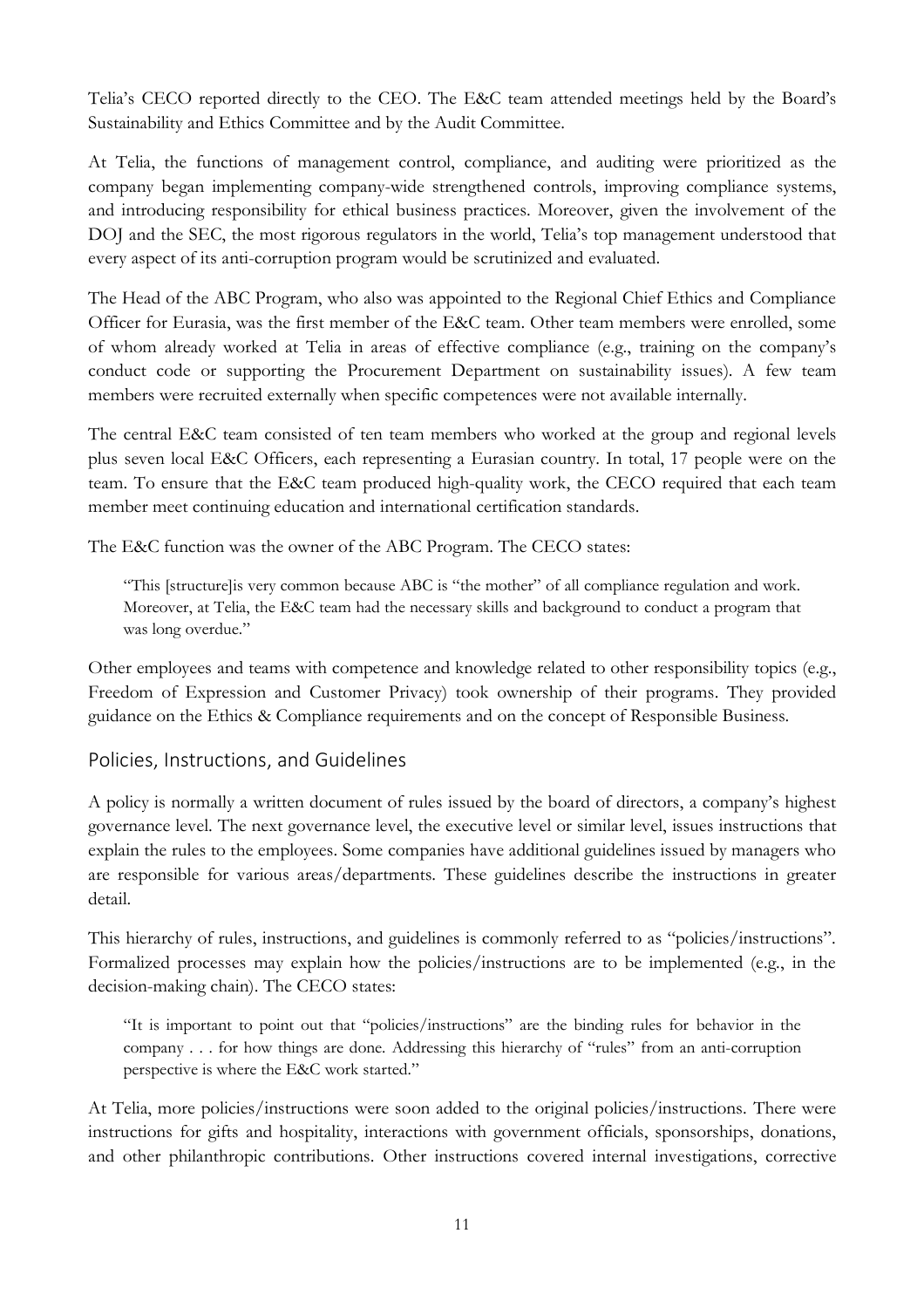Telia's CECO reported directly to the CEO. The E&C team attended meetings held by the Board's Sustainability and Ethics Committee and by the Audit Committee.

At Telia, the functions of management control, compliance, and auditing were prioritized as the company began implementing company-wide strengthened controls, improving compliance systems, and introducing responsibility for ethical business practices. Moreover, given the involvement of the DOJ and the SEC, the most rigorous regulators in the world, Telia's top management understood that every aspect of its anti-corruption program would be scrutinized and evaluated.

The Head of the ABC Program, who also was appointed to the Regional Chief Ethics and Compliance Officer for Eurasia, was the first member of the E&C team. Other team members were enrolled, some of whom already worked at Telia in areas of effective compliance (e.g., training on the company's conduct code or supporting the Procurement Department on sustainability issues). A few team members were recruited externally when specific competences were not available internally.

The central E&C team consisted of ten team members who worked at the group and regional levels plus seven local E&C Officers, each representing a Eurasian country. In total, 17 people were on the team. To ensure that the E&C team produced high-quality work, the CECO required that each team member meet continuing education and international certification standards.

The E&C function was the owner of the ABC Program. The CECO states:

"This [structure]is very common because ABC is "the mother" of all compliance regulation and work. Moreover, at Telia, the E&C team had the necessary skills and background to conduct a program that was long overdue."

Other employees and teams with competence and knowledge related to other responsibility topics (e.g., Freedom of Expression and Customer Privacy) took ownership of their programs. They provided guidance on the Ethics & Compliance requirements and on the concept of Responsible Business.

#### Policies, Instructions, and Guidelines

A policy is normally a written document of rules issued by the board of directors, a company's highest governance level. The next governance level, the executive level or similar level, issues instructions that explain the rules to the employees. Some companies have additional guidelines issued by managers who are responsible for various areas/departments. These guidelines describe the instructions in greater detail.

This hierarchy of rules, instructions, and guidelines is commonly referred to as "policies/instructions". Formalized processes may explain how the policies/instructions are to be implemented (e.g., in the decision-making chain). The CECO states:

"It is important to point out that "policies/instructions" are the binding rules for behavior in the company . . . for how things are done. Addressing this hierarchy of "rules" from an anti-corruption perspective is where the E&C work started."

At Telia, more policies/instructions were soon added to the original policies/instructions. There were instructions for gifts and hospitality, interactions with government officials, sponsorships, donations, and other philanthropic contributions. Other instructions covered internal investigations, corrective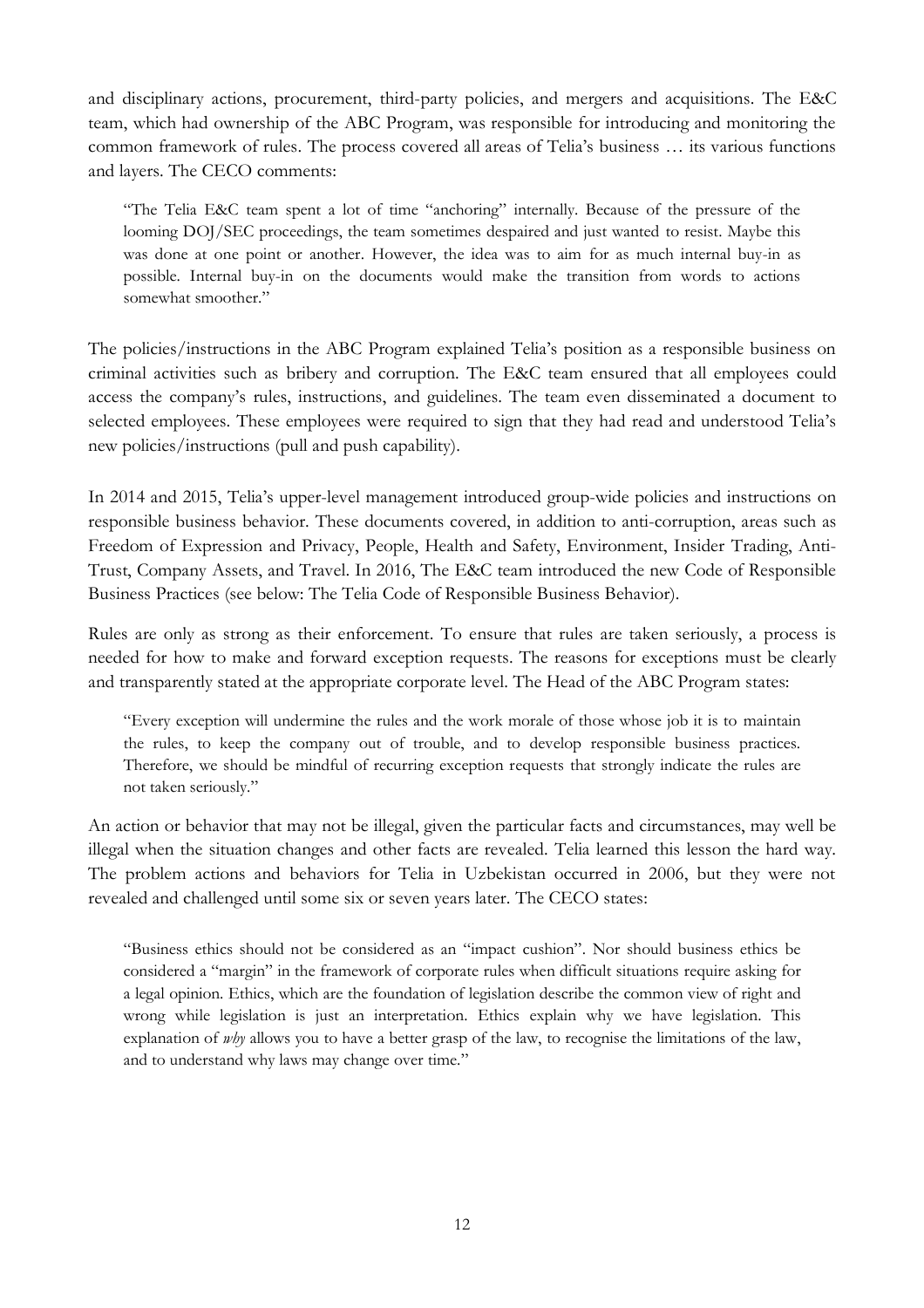and disciplinary actions, procurement, third-party policies, and mergers and acquisitions. The E&C team, which had ownership of the ABC Program, was responsible for introducing and monitoring the common framework of rules. The process covered all areas of Telia's business … its various functions and layers. The CECO comments:

"The Telia E&C team spent a lot of time "anchoring" internally. Because of the pressure of the looming DOJ/SEC proceedings, the team sometimes despaired and just wanted to resist. Maybe this was done at one point or another. However, the idea was to aim for as much internal buy-in as possible. Internal buy-in on the documents would make the transition from words to actions somewhat smoother."

The policies/instructions in the ABC Program explained Telia's position as a responsible business on criminal activities such as bribery and corruption. The E&C team ensured that all employees could access the company's rules, instructions, and guidelines. The team even disseminated a document to selected employees. These employees were required to sign that they had read and understood Telia's new policies/instructions (pull and push capability).

In 2014 and 2015, Telia's upper-level management introduced group-wide policies and instructions on responsible business behavior. These documents covered, in addition to anti-corruption, areas such as Freedom of Expression and Privacy, People, Health and Safety, Environment, Insider Trading, Anti-Trust, Company Assets, and Travel. In 2016, The E&C team introduced the new Code of Responsible Business Practices (see below: The Telia Code of Responsible Business Behavior).

Rules are only as strong as their enforcement. To ensure that rules are taken seriously, a process is needed for how to make and forward exception requests. The reasons for exceptions must be clearly and transparently stated at the appropriate corporate level. The Head of the ABC Program states:

"Every exception will undermine the rules and the work morale of those whose job it is to maintain the rules, to keep the company out of trouble, and to develop responsible business practices. Therefore, we should be mindful of recurring exception requests that strongly indicate the rules are not taken seriously."

An action or behavior that may not be illegal, given the particular facts and circumstances, may well be illegal when the situation changes and other facts are revealed. Telia learned this lesson the hard way. The problem actions and behaviors for Telia in Uzbekistan occurred in 2006, but they were not revealed and challenged until some six or seven years later. The CECO states:

"Business ethics should not be considered as an "impact cushion". Nor should business ethics be considered a "margin" in the framework of corporate rules when difficult situations require asking for a legal opinion. Ethics, which are the foundation of legislation describe the common view of right and wrong while legislation is just an interpretation. Ethics explain why we have legislation. This explanation of *why* allows you to have a better grasp of the law, to recognise the limitations of the law, and to understand why laws may change over time."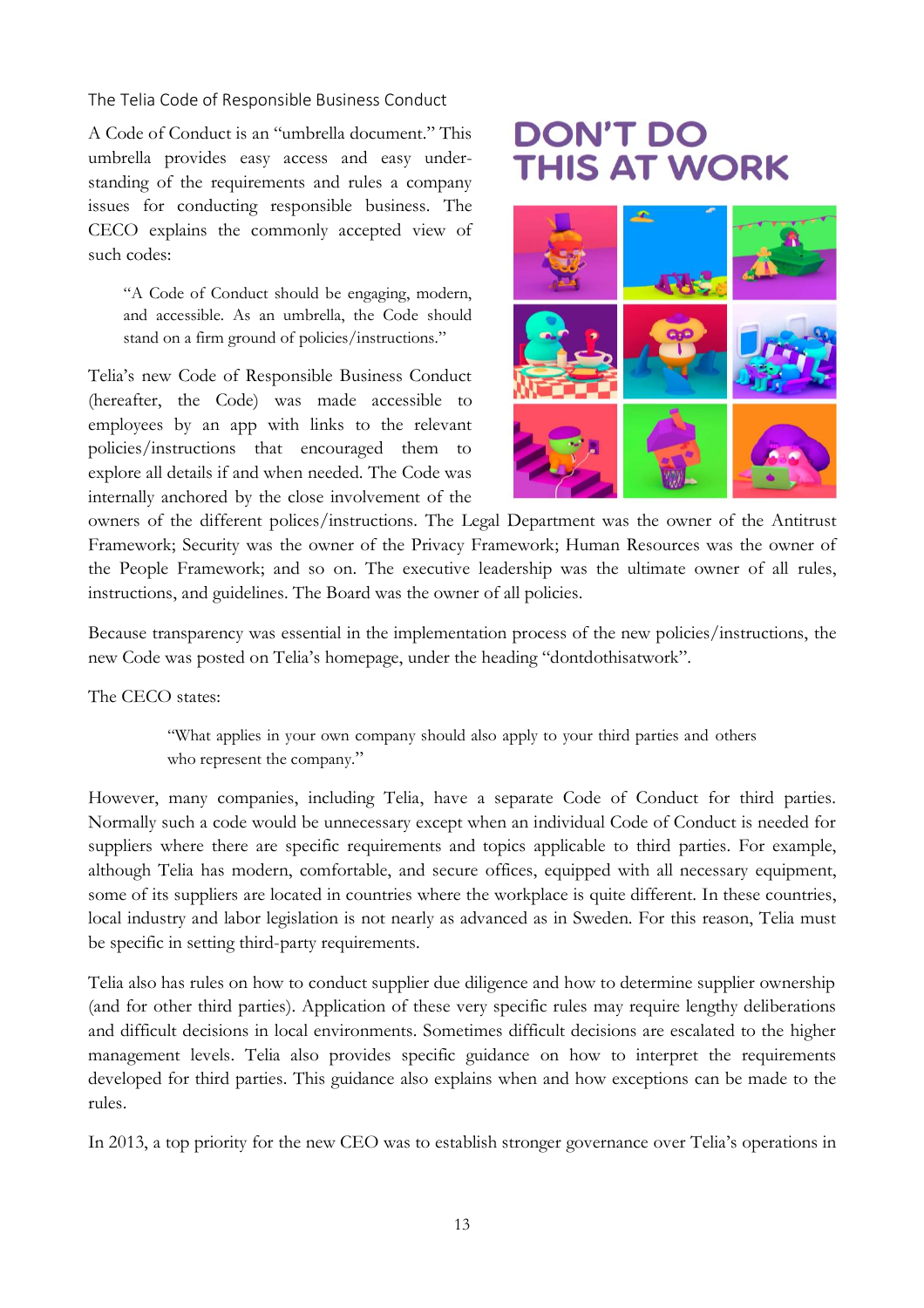The Telia Code of Responsible Business Conduct

A Code of Conduct is an "umbrella document." This umbrella provides easy access and easy understanding of the requirements and rules a company issues for conducting responsible business. The CECO explains the commonly accepted view of such codes:

"A Code of Conduct should be engaging, modern, and accessible. As an umbrella, the Code should stand on a firm ground of policies/instructions."

Telia's new Code of Responsible Business Conduct (hereafter, the Code) was made accessible to employees by an app with links to the relevant policies/instructions that encouraged them to explore all details if and when needed. The Code was internally anchored by the close involvement of the

# **DON'T DO THIS AT WORK**



owners of the different polices/instructions. The Legal Department was the owner of the Antitrust Framework; Security was the owner of the Privacy Framework; Human Resources was the owner of the People Framework; and so on. The executive leadership was the ultimate owner of all rules, instructions, and guidelines. The Board was the owner of all policies.

Because transparency was essential in the implementation process of the new policies/instructions, the new Code was posted on Telia's homepage, under the heading "dontdothisatwork".

The CECO states:

"What applies in your own company should also apply to your third parties and others who represent the company."

However, many companies, including Telia, have a separate Code of Conduct for third parties. Normally such a code would be unnecessary except when an individual Code of Conduct is needed for suppliers where there are specific requirements and topics applicable to third parties. For example, although Telia has modern, comfortable, and secure offices, equipped with all necessary equipment, some of its suppliers are located in countries where the workplace is quite different. In these countries, local industry and labor legislation is not nearly as advanced as in Sweden. For this reason, Telia must be specific in setting third-party requirements.

Telia also has rules on how to conduct supplier due diligence and how to determine supplier ownership (and for other third parties). Application of these very specific rules may require lengthy deliberations and difficult decisions in local environments. Sometimes difficult decisions are escalated to the higher management levels. Telia also provides specific guidance on how to interpret the requirements developed for third parties. This guidance also explains when and how exceptions can be made to the rules.

In 2013, a top priority for the new CEO was to establish stronger governance over Telia's operations in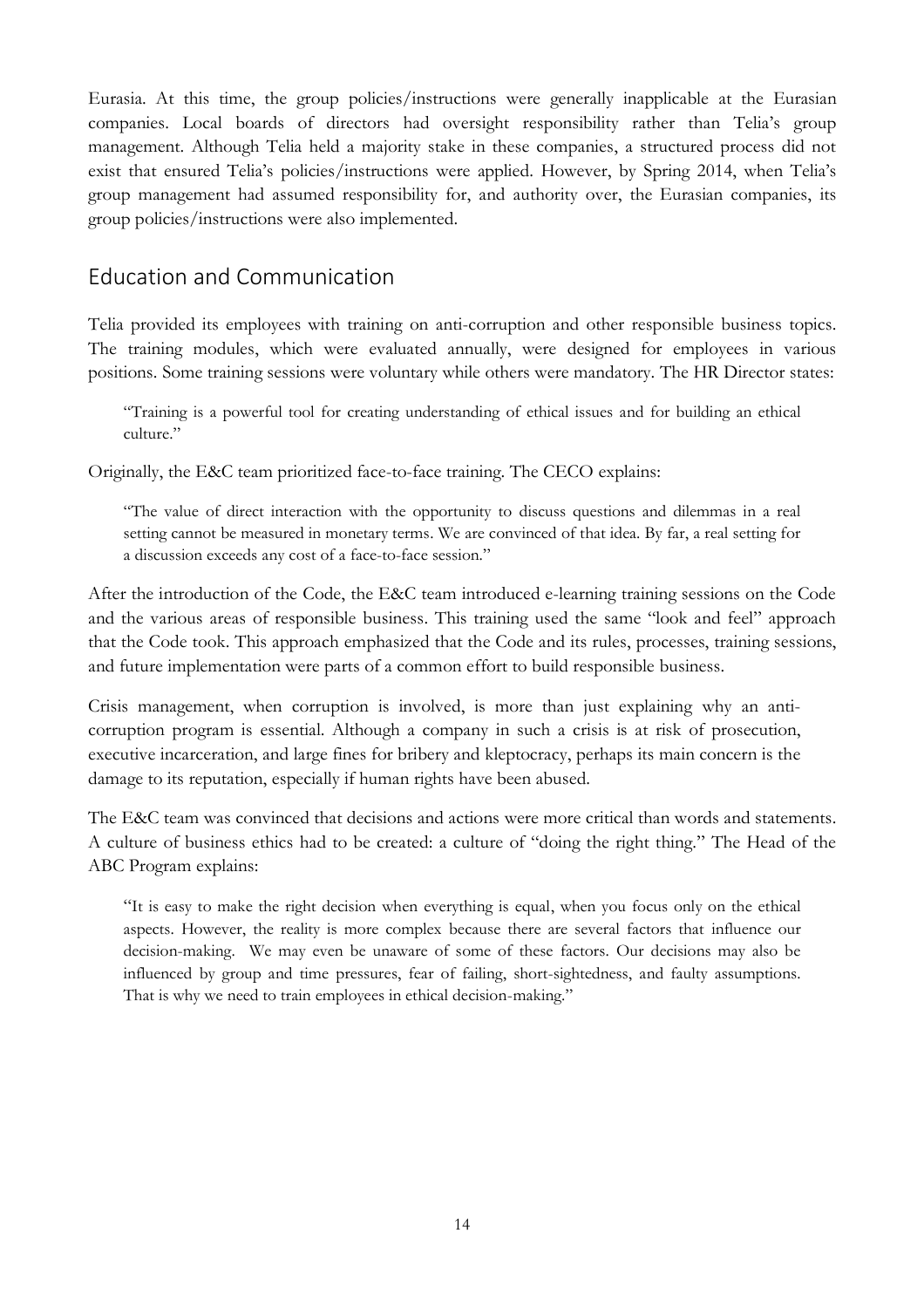Eurasia. At this time, the group policies/instructions were generally inapplicable at the Eurasian companies. Local boards of directors had oversight responsibility rather than Telia's group management. Although Telia held a majority stake in these companies, a structured process did not exist that ensured Telia's policies/instructions were applied. However, by Spring 2014, when Telia's group management had assumed responsibility for, and authority over, the Eurasian companies, its group policies/instructions were also implemented.

# Education and Communication

Telia provided its employees with training on anti-corruption and other responsible business topics. The training modules, which were evaluated annually, were designed for employees in various positions. Some training sessions were voluntary while others were mandatory. The HR Director states:

"Training is a powerful tool for creating understanding of ethical issues and for building an ethical culture."

Originally, the E&C team prioritized face-to-face training. The CECO explains:

"The value of direct interaction with the opportunity to discuss questions and dilemmas in a real setting cannot be measured in monetary terms. We are convinced of that idea. By far, a real setting for a discussion exceeds any cost of a face-to-face session."

After the introduction of the Code, the E&C team introduced e-learning training sessions on the Code and the various areas of responsible business. This training used the same "look and feel" approach that the Code took. This approach emphasized that the Code and its rules, processes, training sessions, and future implementation were parts of a common effort to build responsible business.

Crisis management, when corruption is involved, is more than just explaining why an anticorruption program is essential. Although a company in such a crisis is at risk of prosecution, executive incarceration, and large fines for bribery and kleptocracy, perhaps its main concern is the damage to its reputation, especially if human rights have been abused.

The E&C team was convinced that decisions and actions were more critical than words and statements. A culture of business ethics had to be created: a culture of "doing the right thing." The Head of the ABC Program explains:

"It is easy to make the right decision when everything is equal, when you focus only on the ethical aspects. However, the reality is more complex because there are several factors that influence our decision-making. We may even be unaware of some of these factors. Our decisions may also be influenced by group and time pressures, fear of failing, short-sightedness, and faulty assumptions. That is why we need to train employees in ethical decision-making."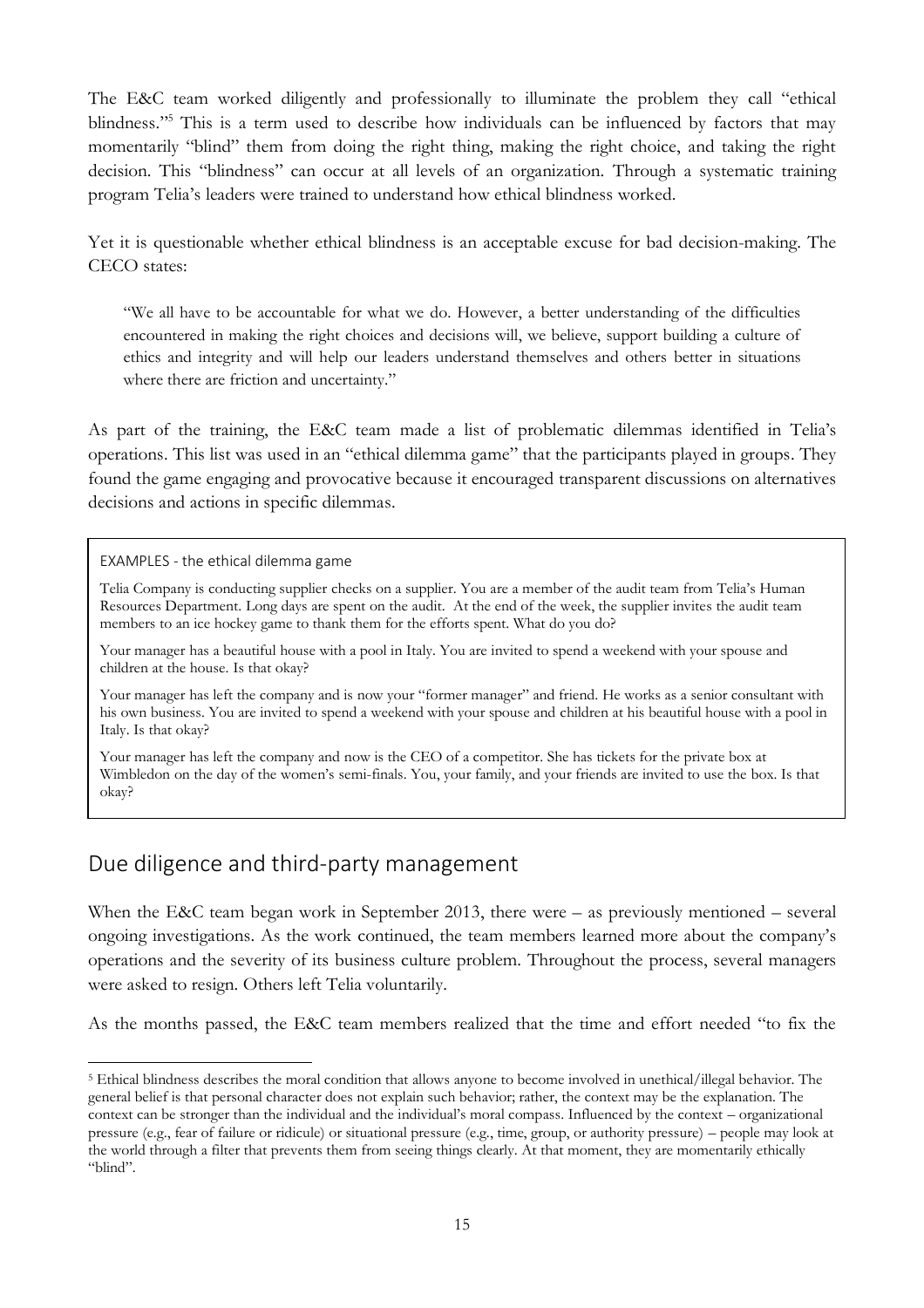The E&C team worked diligently and professionally to illuminate the problem they call "ethical blindness."<sup>5</sup> This is a term used to describe how individuals can be influenced by factors that may momentarily "blind" them from doing the right thing, making the right choice, and taking the right decision. This "blindness" can occur at all levels of an organization. Through a systematic training program Telia's leaders were trained to understand how ethical blindness worked.

Yet it is questionable whether ethical blindness is an acceptable excuse for bad decision-making. The CECO states:

"We all have to be accountable for what we do. However, a better understanding of the difficulties encountered in making the right choices and decisions will, we believe, support building a culture of ethics and integrity and will help our leaders understand themselves and others better in situations where there are friction and uncertainty."

As part of the training, the E&C team made a list of problematic dilemmas identified in Telia's operations. This list was used in an "ethical dilemma game" that the participants played in groups. They found the game engaging and provocative because it encouraged transparent discussions on alternatives decisions and actions in specific dilemmas.

EXAMPLES - the ethical dilemma game

Telia Company is conducting supplier checks on a supplier. You are a member of the audit team from Telia's Human Resources Department. Long days are spent on the audit. At the end of the week, the supplier invites the audit team members to an ice hockey game to thank them for the efforts spent. What do you do?

Your manager has a beautiful house with a pool in Italy. You are invited to spend a weekend with your spouse and children at the house. Is that okay?

Your manager has left the company and is now your "former manager" and friend. He works as a senior consultant with his own business. You are invited to spend a weekend with your spouse and children at his beautiful house with a pool in Italy. Is that okay?

Your manager has left the company and now is the CEO of a competitor. She has tickets for the private box at Wimbledon on the day of the women's semi-finals. You, your family, and your friends are invited to use the box. Is that okay?

 $Y$  are a high-level manager in the company and next to the office is a new yoga studio. You love  $\alpha$ 

# Due diligence and third-party management

When the E&C team began work in September 2013, there were – as previously mentioned – several ongoing investigations. As the work continued, the team members learned more about the company's operations and the severity of its business culture problem. Throughout the process, several managers were asked to resign. Others left Telia voluntarily.

As the months passed, the E&C team members realized that the time and effort needed "to fix the

 $\overline{a}$ <sup>5</sup> Ethical blindness describes the moral condition that allows anyone to become involved in unethical/illegal behavior. The general belief is that personal character does not explain such behavior; rather, the context may be the explanation. The context can be stronger than the individual and the individual's moral compass. Influenced by the context – organizational pressure (e.g., fear of failure or ridicule) or situational pressure (e.g., time, group, or authority pressure) – people may look at the world through a filter that prevents them from seeing things clearly. At that moment, they are momentarily ethically "blind".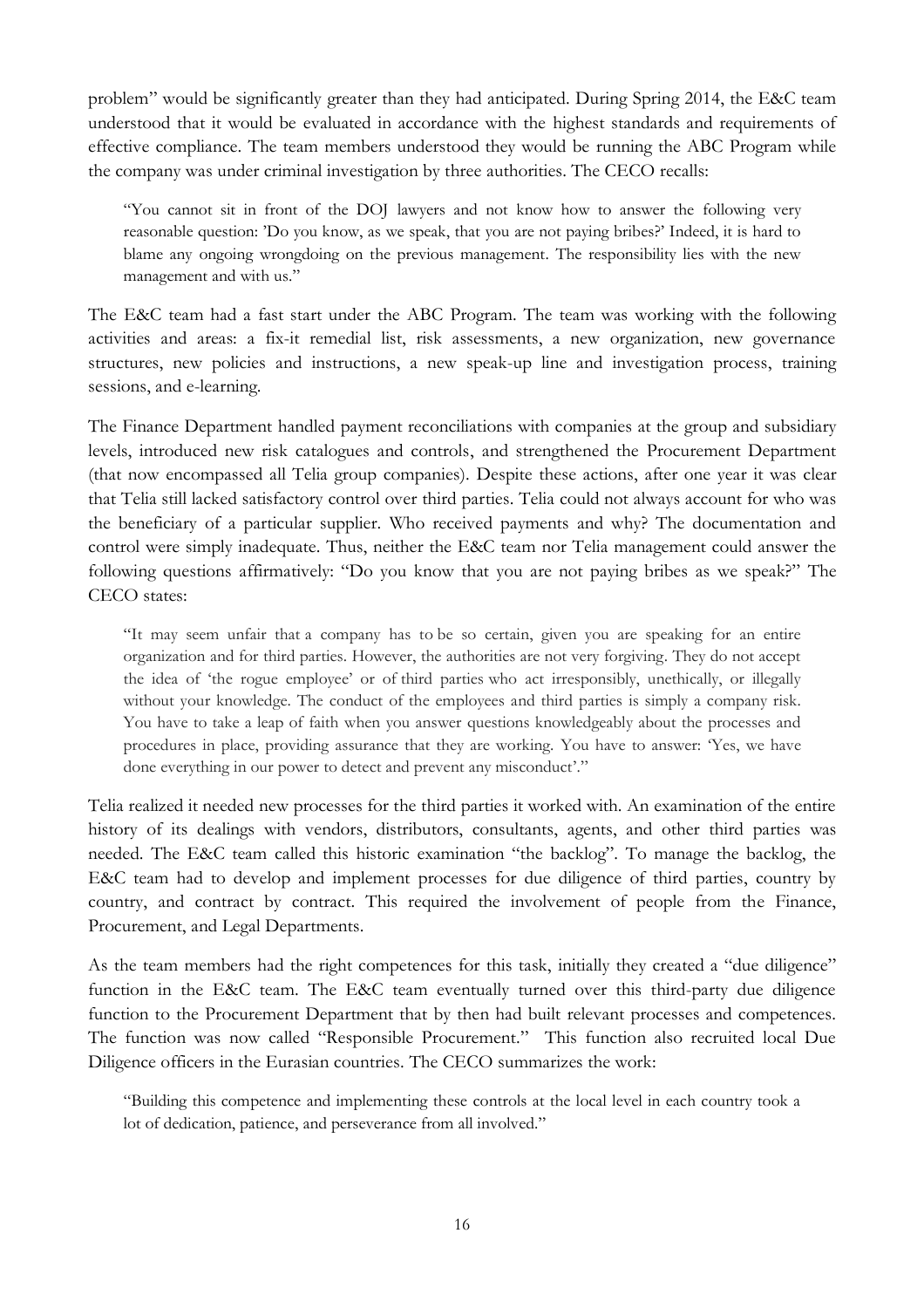problem" would be significantly greater than they had anticipated. During Spring 2014, the E&C team understood that it would be evaluated in accordance with the highest standards and requirements of effective compliance. The team members understood they would be running the ABC Program while the company was under criminal investigation by three authorities. The CECO recalls:

"You cannot sit in front of the DOJ lawyers and not know how to answer the following very reasonable question: 'Do you know, as we speak, that you are not paying bribes?' Indeed, it is hard to blame any ongoing wrongdoing on the previous management. The responsibility lies with the new management and with us."

The E&C team had a fast start under the ABC Program. The team was working with the following activities and areas: a fix-it remedial list, risk assessments, a new organization, new governance structures, new policies and instructions, a new speak-up line and investigation process, training sessions, and e-learning.

The Finance Department handled payment reconciliations with companies at the group and subsidiary levels, introduced new risk catalogues and controls, and strengthened the Procurement Department (that now encompassed all Telia group companies). Despite these actions, after one year it was clear that Telia still lacked satisfactory control over third parties. Telia could not always account for who was the beneficiary of a particular supplier. Who received payments and why? The documentation and control were simply inadequate. Thus, neither the E&C team nor Telia management could answer the following questions affirmatively: "Do you know that you are not paying bribes as we speak?" The CECO states:

"It may seem unfair that a company has to be so certain, given you are speaking for an entire organization and for third parties. However, the authorities are not very forgiving. They do not accept the idea of 'the rogue employee' or of third parties who act irresponsibly, unethically, or illegally without your knowledge. The conduct of the employees and third parties is simply a company risk. You have to take a leap of faith when you answer questions knowledgeably about the processes and procedures in place, providing assurance that they are working. You have to answer: 'Yes, we have done everything in our power to detect and prevent any misconduct'."

Telia realized it needed new processes for the third parties it worked with. An examination of the entire history of its dealings with vendors, distributors, consultants, agents, and other third parties was needed. The E&C team called this historic examination "the backlog". To manage the backlog, the E&C team had to develop and implement processes for due diligence of third parties, country by country, and contract by contract. This required the involvement of people from the Finance, Procurement, and Legal Departments.

As the team members had the right competences for this task, initially they created a "due diligence" function in the E&C team. The E&C team eventually turned over this third-party due diligence function to the Procurement Department that by then had built relevant processes and competences. The function was now called "Responsible Procurement." This function also recruited local Due Diligence officers in the Eurasian countries. The CECO summarizes the work:

"Building this competence and implementing these controls at the local level in each country took a lot of dedication, patience, and perseverance from all involved."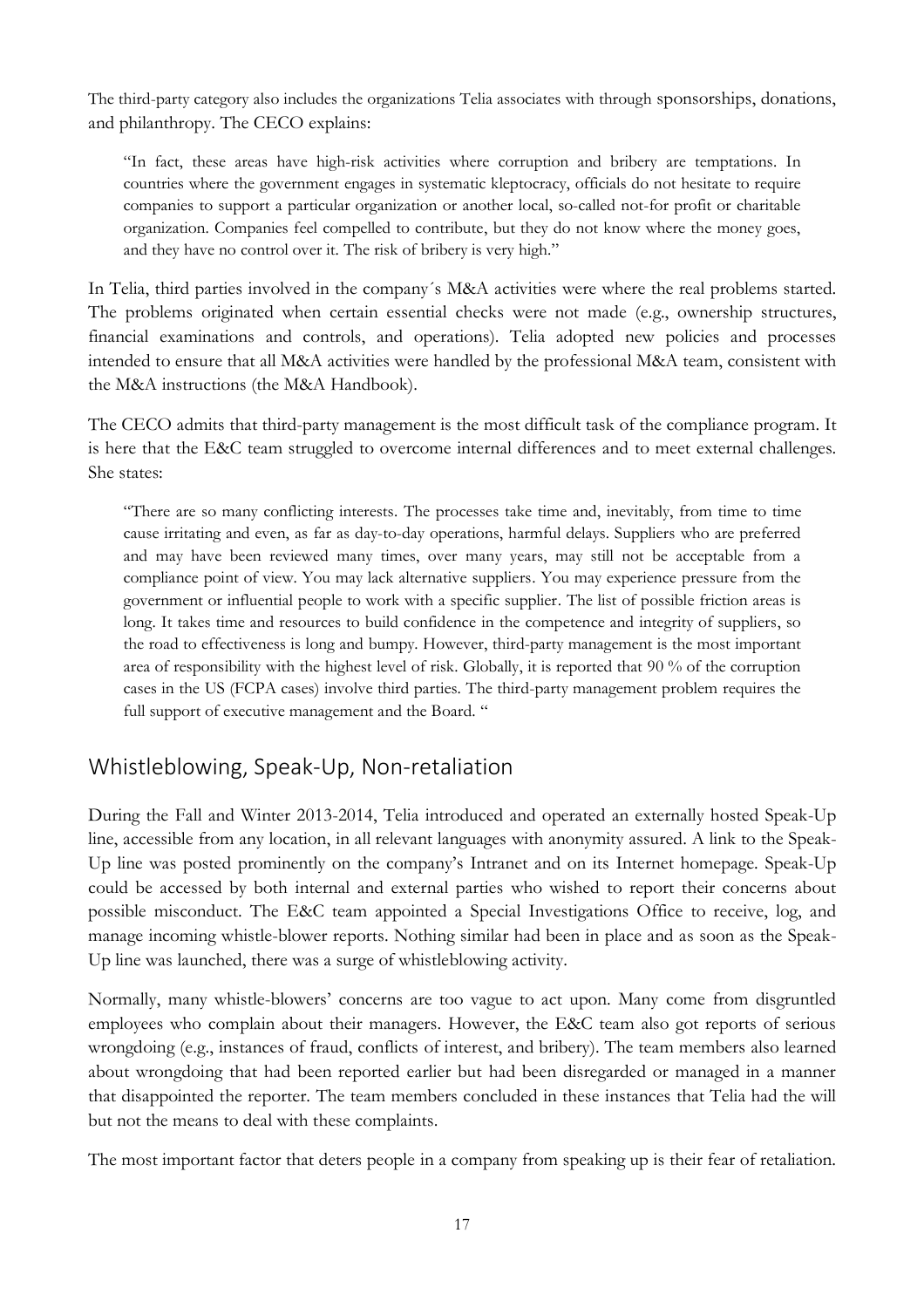The third-party category also includes the organizations Telia associates with through sponsorships, donations, and philanthropy. The CECO explains:

"In fact, these areas have high-risk activities where corruption and bribery are temptations. In countries where the government engages in systematic kleptocracy, officials do not hesitate to require companies to support a particular organization or another local, so-called not-for profit or charitable organization. Companies feel compelled to contribute, but they do not know where the money goes, and they have no control over it. The risk of bribery is very high."

In Telia, third parties involved in the company´s M&A activities were where the real problems started. The problems originated when certain essential checks were not made (e.g., ownership structures, financial examinations and controls, and operations). Telia adopted new policies and processes intended to ensure that all M&A activities were handled by the professional M&A team, consistent with the M&A instructions (the M&A Handbook).

The CECO admits that third-party management is the most difficult task of the compliance program. It is here that the E&C team struggled to overcome internal differences and to meet external challenges. She states:

"There are so many conflicting interests. The processes take time and, inevitably, from time to time cause irritating and even, as far as day-to-day operations, harmful delays. Suppliers who are preferred and may have been reviewed many times, over many years, may still not be acceptable from a compliance point of view. You may lack alternative suppliers. You may experience pressure from the government or influential people to work with a specific supplier. The list of possible friction areas is long. It takes time and resources to build confidence in the competence and integrity of suppliers, so the road to effectiveness is long and bumpy. However, third-party management is the most important area of responsibility with the highest level of risk. Globally, it is reported that 90 % of the corruption cases in the US (FCPA cases) involve third parties. The third-party management problem requires the full support of executive management and the Board. "

# Whistleblowing, Speak-Up, Non-retaliation

During the Fall and Winter 2013-2014, Telia introduced and operated an externally hosted Speak-Up line, accessible from any location, in all relevant languages with anonymity assured. A link to the Speak-Up line was posted prominently on the company's Intranet and on its Internet homepage. Speak-Up could be accessed by both internal and external parties who wished to report their concerns about possible misconduct. The E&C team appointed a Special Investigations Office to receive, log, and manage incoming whistle-blower reports. Nothing similar had been in place and as soon as the Speak-Up line was launched, there was a surge of whistleblowing activity.

Normally, many whistle-blowers' concerns are too vague to act upon. Many come from disgruntled employees who complain about their managers. However, the E&C team also got reports of serious wrongdoing (e.g., instances of fraud, conflicts of interest, and bribery). The team members also learned about wrongdoing that had been reported earlier but had been disregarded or managed in a manner that disappointed the reporter. The team members concluded in these instances that Telia had the will but not the means to deal with these complaints.

The most important factor that deters people in a company from speaking up is their fear of retaliation.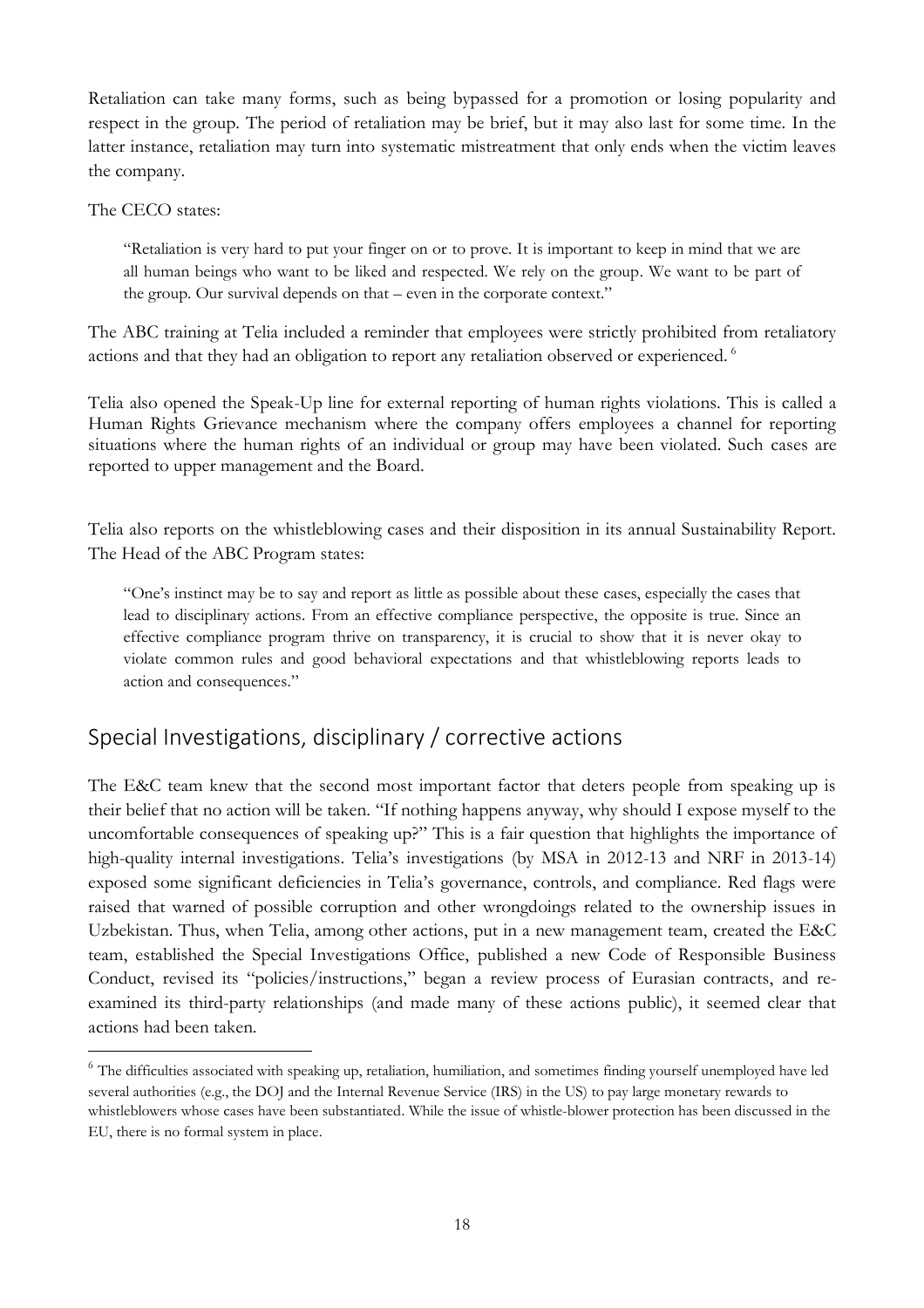Retaliation can take many forms, such as being bypassed for a promotion or losing popularity and respect in the group. The period of retaliation may be brief, but it may also last for some time. In the latter instance, retaliation may turn into systematic mistreatment that only ends when the victim leaves the company.

The CECO states:

 $\overline{a}$ 

"Retaliation is very hard to put your finger on or to prove. It is important to keep in mind that we are all human beings who want to be liked and respected. We rely on the group. We want to be part of the group. Our survival depends on that – even in the corporate context."

The ABC training at Telia included a reminder that employees were strictly prohibited from retaliatory actions and that they had an obligation to report any retaliation observed or experienced. <sup>6</sup>

Telia also opened the Speak-Up line for external reporting of human rights violations. This is called a Human Rights Grievance mechanism where the company offers employees a channel for reporting situations where the human rights of an individual or group may have been violated. Such cases are reported to upper management and the Board.

Telia also reports on the whistleblowing cases and their disposition in its annual Sustainability Report. The Head of the ABC Program states:

"One's instinct may be to say and report as little as possible about these cases, especially the cases that lead to disciplinary actions. From an effective compliance perspective, the opposite is true. Since an effective compliance program thrive on transparency, it is crucial to show that it is never okay to violate common rules and good behavioral expectations and that whistleblowing reports leads to action and consequences."

# Special Investigations, disciplinary / corrective actions

The E&C team knew that the second most important factor that deters people from speaking up is their belief that no action will be taken. "If nothing happens anyway, why should I expose myself to the uncomfortable consequences of speaking up?" This is a fair question that highlights the importance of high-quality internal investigations. Telia's investigations (by MSA in 2012-13 and NRF in 2013-14) exposed some significant deficiencies in Telia's governance, controls, and compliance. Red flags were raised that warned of possible corruption and other wrongdoings related to the ownership issues in Uzbekistan. Thus, when Telia, among other actions, put in a new management team, created the E&C team, established the Special Investigations Office, published a new Code of Responsible Business Conduct, revised its "policies/instructions," began a review process of Eurasian contracts, and reexamined its third-party relationships (and made many of these actions public), it seemed clear that actions had been taken.

<sup>&</sup>lt;sup>6</sup> The difficulties associated with speaking up, retaliation, humiliation, and sometimes finding yourself unemployed have led several authorities (e.g., the DOJ and the Internal Revenue Service (IRS) in the US) to pay large monetary rewards to whistleblowers whose cases have been substantiated. While the issue of whistle-blower protection has been discussed in the EU, there is no formal system in place.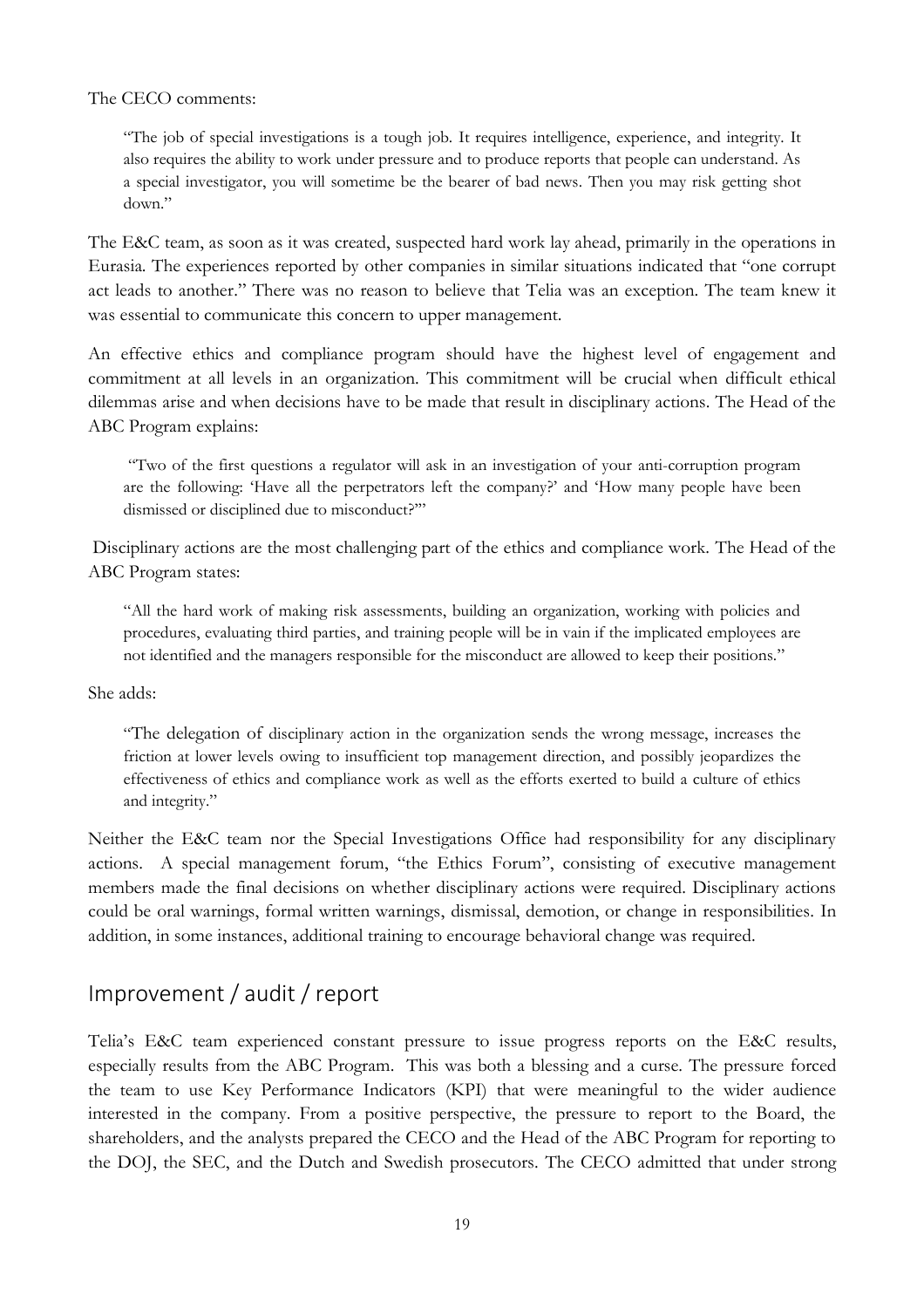#### The CECO comments:

"The job of special investigations is a tough job. It requires intelligence, experience, and integrity. It also requires the ability to work under pressure and to produce reports that people can understand. As a special investigator, you will sometime be the bearer of bad news. Then you may risk getting shot down."

The E&C team, as soon as it was created, suspected hard work lay ahead, primarily in the operations in Eurasia. The experiences reported by other companies in similar situations indicated that "one corrupt act leads to another." There was no reason to believe that Telia was an exception. The team knew it was essential to communicate this concern to upper management.

An effective ethics and compliance program should have the highest level of engagement and commitment at all levels in an organization. This commitment will be crucial when difficult ethical dilemmas arise and when decisions have to be made that result in disciplinary actions. The Head of the ABC Program explains:

"Two of the first questions a regulator will ask in an investigation of your anti-corruption program are the following: 'Have all the perpetrators left the company?' and 'How many people have been dismissed or disciplined due to misconduct?'"

Disciplinary actions are the most challenging part of the ethics and compliance work. The Head of the ABC Program states:

"All the hard work of making risk assessments, building an organization, working with policies and procedures, evaluating third parties, and training people will be in vain if the implicated employees are not identified and the managers responsible for the misconduct are allowed to keep their positions."

She adds:

"The delegation of disciplinary action in the organization sends the wrong message, increases the friction at lower levels owing to insufficient top management direction, and possibly jeopardizes the effectiveness of ethics and compliance work as well as the efforts exerted to build a culture of ethics and integrity."

Neither the E&C team nor the Special Investigations Office had responsibility for any disciplinary actions. A special management forum, "the Ethics Forum", consisting of executive management members made the final decisions on whether disciplinary actions were required. Disciplinary actions could be oral warnings, formal written warnings, dismissal, demotion, or change in responsibilities. In addition, in some instances, additional training to encourage behavioral change was required.

# Improvement / audit / report

Telia's E&C team experienced constant pressure to issue progress reports on the E&C results, especially results from the ABC Program. This was both a blessing and a curse. The pressure forced the team to use Key Performance Indicators (KPI) that were meaningful to the wider audience interested in the company. From a positive perspective, the pressure to report to the Board, the shareholders, and the analysts prepared the CECO and the Head of the ABC Program for reporting to the DOJ, the SEC, and the Dutch and Swedish prosecutors. The CECO admitted that under strong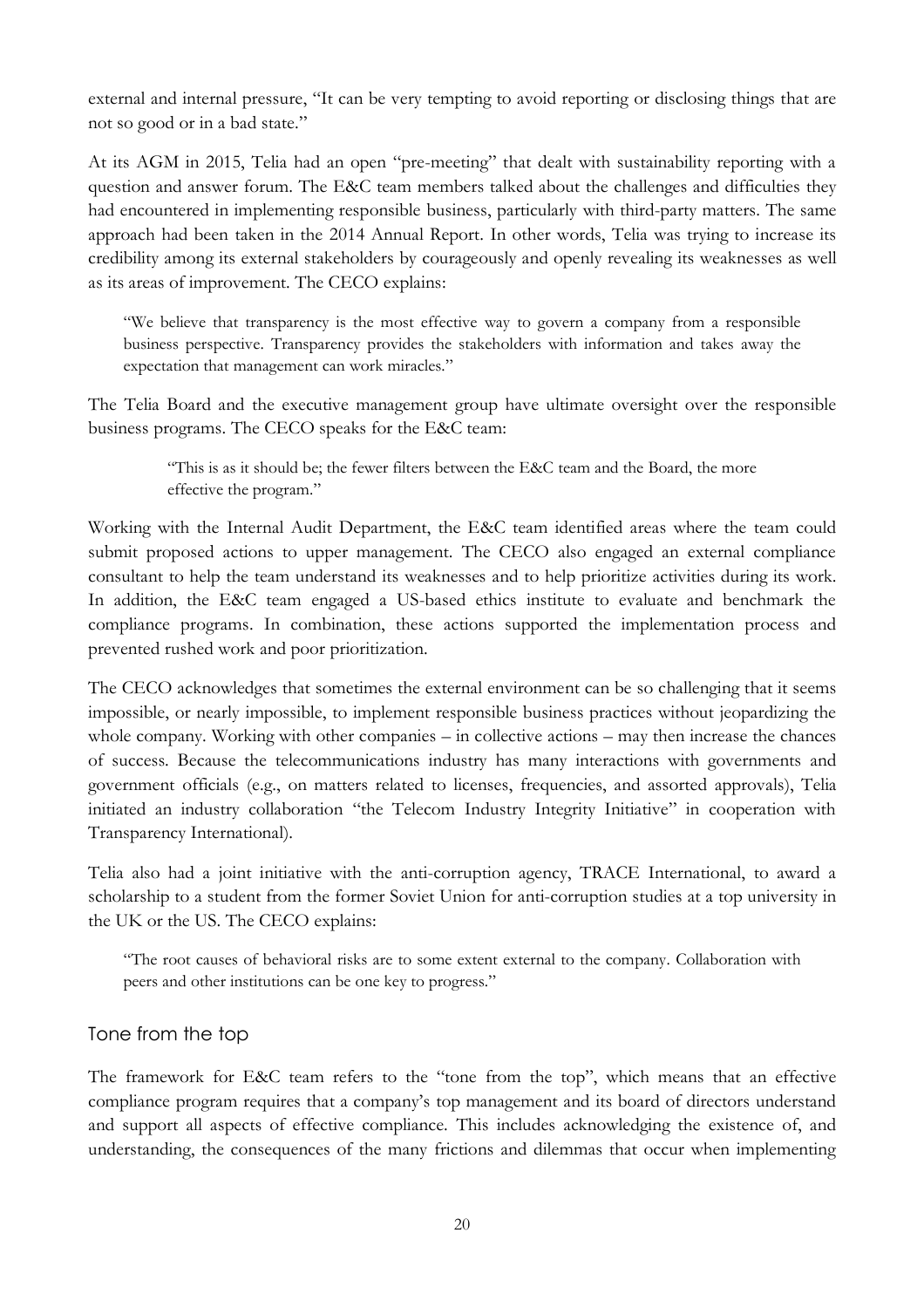external and internal pressure, "It can be very tempting to avoid reporting or disclosing things that are not so good or in a bad state."

At its AGM in 2015, Telia had an open "pre-meeting" that dealt with sustainability reporting with a question and answer forum. The E&C team members talked about the challenges and difficulties they had encountered in implementing responsible business, particularly with third-party matters. The same approach had been taken in the 2014 Annual Report. In other words, Telia was trying to increase its credibility among its external stakeholders by courageously and openly revealing its weaknesses as well as its areas of improvement. The CECO explains:

"We believe that transparency is the most effective way to govern a company from a responsible business perspective. Transparency provides the stakeholders with information and takes away the expectation that management can work miracles."

The Telia Board and the executive management group have ultimate oversight over the responsible business programs. The CECO speaks for the E&C team:

> "This is as it should be; the fewer filters between the E&C team and the Board, the more effective the program."

Working with the Internal Audit Department, the E&C team identified areas where the team could submit proposed actions to upper management. The CECO also engaged an external compliance consultant to help the team understand its weaknesses and to help prioritize activities during its work. In addition, the E&C team engaged a US-based ethics institute to evaluate and benchmark the compliance programs. In combination, these actions supported the implementation process and prevented rushed work and poor prioritization.

The CECO acknowledges that sometimes the external environment can be so challenging that it seems impossible, or nearly impossible, to implement responsible business practices without jeopardizing the whole company. Working with other companies – in collective actions – may then increase the chances of success. Because the telecommunications industry has many interactions with governments and government officials (e.g., on matters related to licenses, frequencies, and assorted approvals), Telia initiated an industry collaboration "the Telecom Industry Integrity Initiative" in cooperation with Transparency International).

Telia also had a joint initiative with the anti-corruption agency, TRACE International, to award a scholarship to a student from the former Soviet Union for anti-corruption studies at a top university in the UK or the US. The CECO explains:

"The root causes of behavioral risks are to some extent external to the company. Collaboration with peers and other institutions can be one key to progress."

## Tone from the top

The framework for E&C team refers to the "tone from the top", which means that an effective compliance program requires that a company's top management and its board of directors understand and support all aspects of effective compliance. This includes acknowledging the existence of, and understanding, the consequences of the many frictions and dilemmas that occur when implementing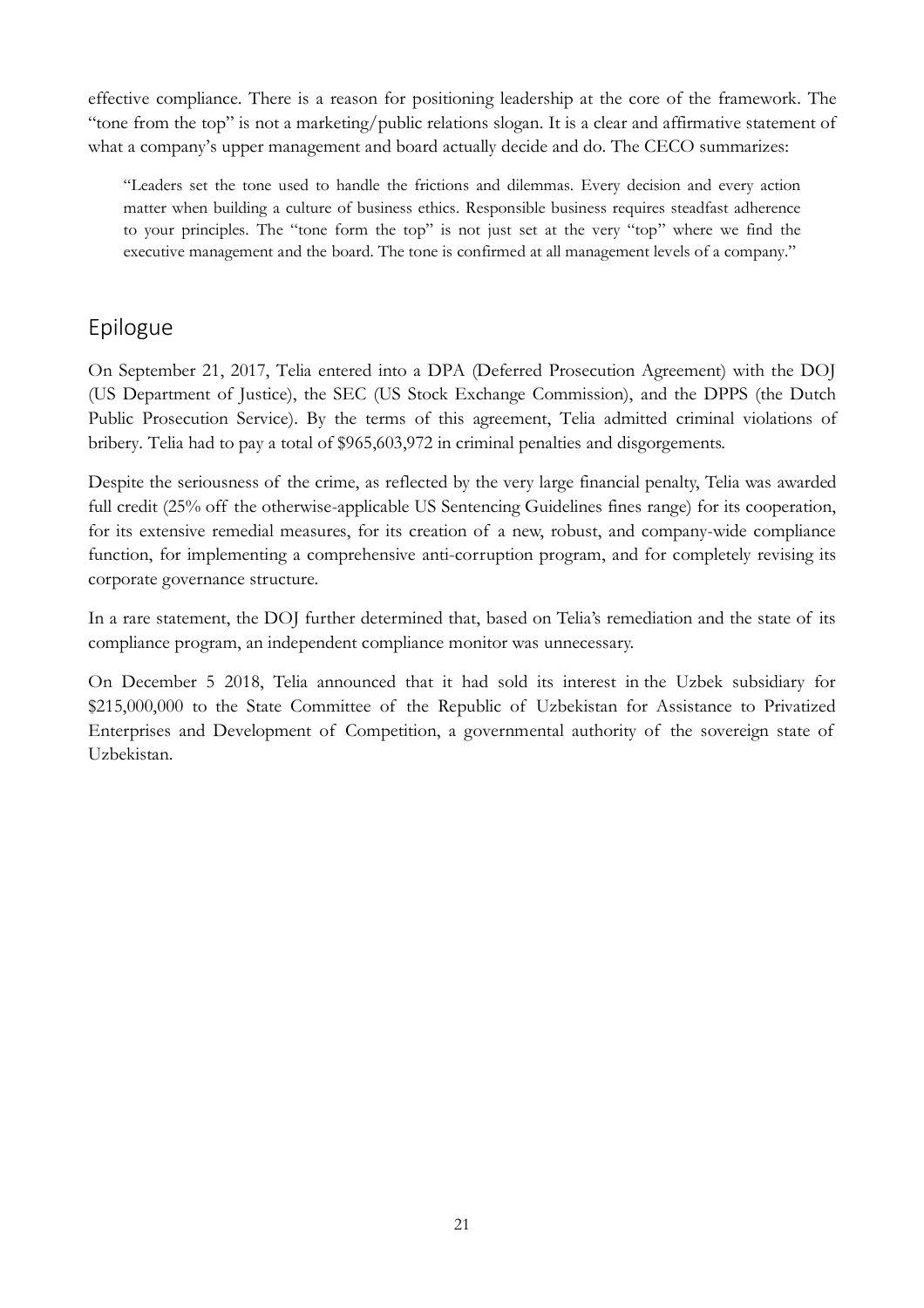effective compliance. There is a reason for positioning leadership at the core of the framework. The "tone from the top" is not a marketing/public relations slogan. It is a clear and affirmative statement of what a company's upper management and board actually decide and do. The CECO summarizes:

"Leaders set the tone used to handle the frictions and dilemmas. Every decision and every action matter when building a culture of business ethics. Responsible business requires steadfast adherence to your principles. The "tone form the top" is not just set at the very "top" where we find the executive management and the board. The tone is confirmed at all management levels of a company."

# Epilogue

On September 21, 2017, Telia entered into a DPA (Deferred Prosecution Agreement) with the DOJ (US Department of Justice), the SEC (US Stock Exchange Commission), and the DPPS (the Dutch Public Prosecution Service). By the terms of this agreement, Telia admitted criminal violations of bribery. Telia had to pay a total of \$965,603,972 in criminal penalties and disgorgements.

Despite the seriousness of the crime, as reflected by the very large financial penalty, Telia was awarded full credit (25% off the otherwise-applicable US Sentencing Guidelines fines range) for its cooperation, for its extensive remedial measures, for its creation of a new, robust, and company-wide compliance function, for implementing a comprehensive anti-corruption program, and for completely revising its corporate governance structure.

In a rare statement, the DOJ further determined that, based on Telia's remediation and the state of its compliance program, an independent compliance monitor was unnecessary.

On December 5 2018, Telia announced that it had sold its interest in the Uzbek subsidiary for \$215,000,000 to the State Committee of the Republic of Uzbekistan for Assistance to Privatized Enterprises and Development of Competition, a governmental authority of the sovereign state of Uzbekistan.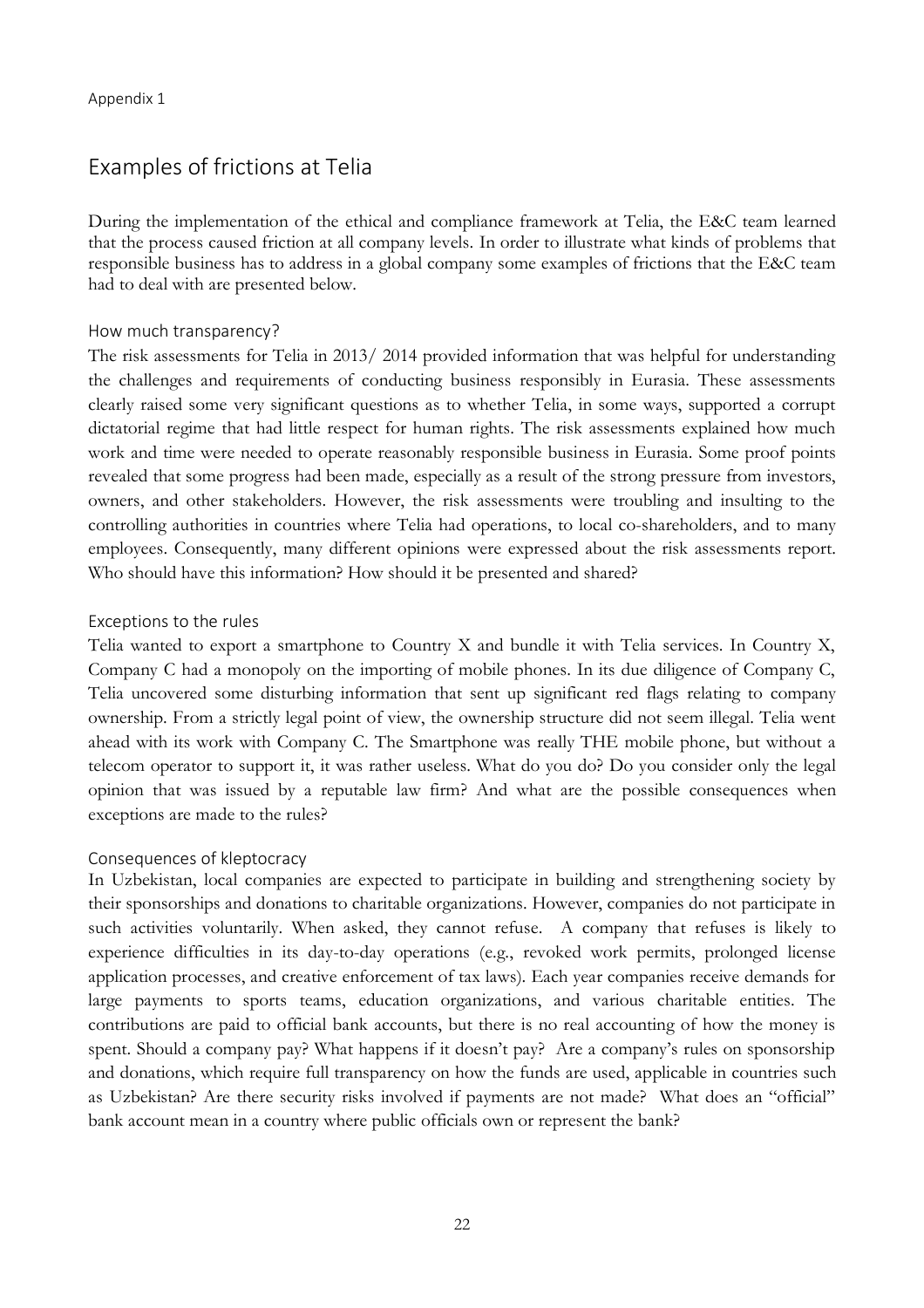# Examples of frictions at Telia

During the implementation of the ethical and compliance framework at Telia, the E&C team learned that the process caused friction at all company levels. In order to illustrate what kinds of problems that responsible business has to address in a global company some examples of frictions that the E&C team had to deal with are presented below.

#### How much transparency?

The risk assessments for Telia in 2013/ 2014 provided information that was helpful for understanding the challenges and requirements of conducting business responsibly in Eurasia. These assessments clearly raised some very significant questions as to whether Telia, in some ways, supported a corrupt dictatorial regime that had little respect for human rights. The risk assessments explained how much work and time were needed to operate reasonably responsible business in Eurasia. Some proof points revealed that some progress had been made, especially as a result of the strong pressure from investors, owners, and other stakeholders. However, the risk assessments were troubling and insulting to the controlling authorities in countries where Telia had operations, to local co-shareholders, and to many employees. Consequently, many different opinions were expressed about the risk assessments report. Who should have this information? How should it be presented and shared?

#### Exceptions to the rules

Telia wanted to export a smartphone to Country X and bundle it with Telia services. In Country X, Company C had a monopoly on the importing of mobile phones. In its due diligence of Company C, Telia uncovered some disturbing information that sent up significant red flags relating to company ownership. From a strictly legal point of view, the ownership structure did not seem illegal. Telia went ahead with its work with Company C. The Smartphone was really THE mobile phone, but without a telecom operator to support it, it was rather useless. What do you do? Do you consider only the legal opinion that was issued by a reputable law firm? And what are the possible consequences when exceptions are made to the rules?

#### Consequences of kleptocracy

In Uzbekistan, local companies are expected to participate in building and strengthening society by their sponsorships and donations to charitable organizations. However, companies do not participate in such activities voluntarily. When asked, they cannot refuse. A company that refuses is likely to experience difficulties in its day-to-day operations (e.g., revoked work permits, prolonged license application processes, and creative enforcement of tax laws). Each year companies receive demands for large payments to sports teams, education organizations, and various charitable entities. The contributions are paid to official bank accounts, but there is no real accounting of how the money is spent. Should a company pay? What happens if it doesn't pay? Are a company's rules on sponsorship and donations, which require full transparency on how the funds are used, applicable in countries such as Uzbekistan? Are there security risks involved if payments are not made? What does an "official" bank account mean in a country where public officials own or represent the bank?